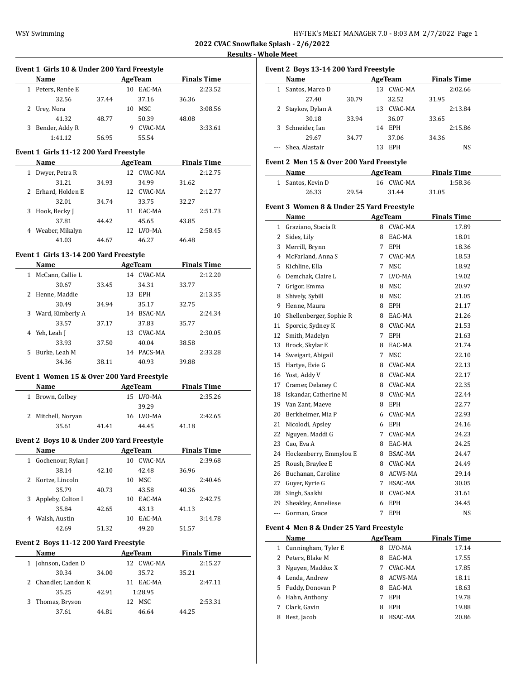L

 $\overline{\phantom{a}}$ 

| HY-TEK's MEET MANAGER 7.0 - 8:03 AM 2/7/2022 Page 1 |  |
|-----------------------------------------------------|--|
|-----------------------------------------------------|--|

**2022 CVAC Snowflake Splash - 2/6/2022**

#### **Results - Whole Meet**

# **Event 1 Girls 10 & Under 200 Yard Freestyle**

| <b>Name</b>         |       | AgeTeam |         |       | <b>Finals Time</b> |
|---------------------|-------|---------|---------|-------|--------------------|
| 1 Peters, Renée E   |       | 10      | EAC-MA  |       | 2:23.52            |
| 32.56               | 37.44 |         | 37.16   | 36.36 |                    |
| 2 Urey, Nora        |       | 10      | MSC.    |       | 3:08.56            |
| 41.32               | 48.77 |         | 50.39   | 48.08 |                    |
| Bender, Addy R<br>3 |       | 9       | CVAC-MA |       | 3:33.61            |
| 1:41.12             | 56.95 |         | 55.54   |       |                    |

## **Event 1 Girls 11-12 200 Yard Freestyle**

|   | Name             |       |     | AgeTeam |       | <b>Finals Time</b> |  |
|---|------------------|-------|-----|---------|-------|--------------------|--|
| 1 | Dwyer, Petra R   |       | 12  | CVAC-MA |       | 2:12.75            |  |
|   | 31.21            | 34.93 |     | 34.99   | 31.62 |                    |  |
| 2 | Erhard, Holden E |       | 12. | CVAC-MA |       | 2:12.77            |  |
|   | 32.01            | 34.74 |     | 33.75   | 32.27 |                    |  |
| 3 | Hook, Becky J    |       | 11  | EAC-MA  |       | 2:51.73            |  |
|   | 37.81            | 44.42 |     | 45.65   | 43.85 |                    |  |
| 4 | Weaber, Mikalyn  |       | 12  | LVO-MA  |       | 2:58.45            |  |
|   | 41.03            | 44.67 |     | 46.27   | 46.48 |                    |  |

# **Event 1 Girls 13-14 200 Yard Freestyle**

|    | <b>Name</b>      |       |    | AgeTeam    |       | <b>Finals Time</b> |
|----|------------------|-------|----|------------|-------|--------------------|
|    | McCann, Callie L |       | 14 | CVAC-MA    |       | 2:12.20            |
|    | 30.67            | 33.45 |    | 34.31      | 33.77 |                    |
|    | Henne, Maddie    |       | 13 | <b>EPH</b> |       | 2:13.35            |
|    | 30.49            | 34.94 |    | 35.17      | 32.75 |                    |
| 3. | Ward, Kimberly A |       | 14 | BSAC-MA    |       | 2:24.34            |
|    | 33.57            | 37.17 |    | 37.83      | 35.77 |                    |
| 4  | Yeh, Leah J      |       | 13 | CVAC-MA    |       | 2:30.05            |
|    | 33.93            | 37.50 |    | 40.04      | 38.58 |                    |
|    | Burke, Leah M    |       | 14 | PACS-MA    |       | 2:33.28            |
|    | 34.36            | 38.11 |    | 40.93      | 39.88 |                    |

#### **Event 1 Women 15 & Over 200 Yard Freestyle**

|    | <b>Name</b>        |       | AgeTeam   | <b>Finals Time</b> |  |
|----|--------------------|-------|-----------|--------------------|--|
| 1. | Brown, Colbey      |       | 15 LVO-MA | 2:35.26            |  |
|    |                    |       | 39.29     |                    |  |
|    | 2 Mitchell, Noryan |       | 16 LVO-MA | 2:42.65            |  |
|    | 35.61              | 41.41 | 44.45     | 41.18              |  |

#### **Event 2 Boys 10 & Under 200 Yard Freestyle**

| Name                               | AgeTeam |    |         |       | <b>Finals Time</b> |  |
|------------------------------------|---------|----|---------|-------|--------------------|--|
| Gochenour, Rylan J<br>$\mathbf{1}$ |         | 10 | CVAC-MA |       | 2:39.68            |  |
| 38.14                              | 42.10   |    | 42.48   | 36.96 |                    |  |
| 2 Kortze, Lincoln                  |         | 10 | MSC     |       | 2:40.46            |  |
| 35.79                              | 40.73   |    | 43.58   | 40.36 |                    |  |
| Appleby, Colton I<br>3             |         | 10 | EAC-MA  |       | 2:42.75            |  |
| 35.84                              | 42.65   |    | 43.13   | 41.13 |                    |  |
| Walsh, Austin<br>4                 |         | 10 | EAC-MA  |       | 3:14.78            |  |
| 42.69                              | 51.32   |    | 49.20   | 51.57 |                    |  |

## **Event 2 Boys 11-12 200 Yard Freestyle**

| <b>Name</b>          |       |    | AgeTeam |       | <b>Finals Time</b> |
|----------------------|-------|----|---------|-------|--------------------|
| 1 Johnson, Caden D   |       | 12 | CVAC-MA |       | 2:15.27            |
| 30.34                | 34.00 |    | 35.72   | 35.21 |                    |
| 2 Chandler, Landon K |       |    | EAC-MA  |       | 2:47.11            |
| 35.25                | 42.91 |    | 1:28.95 |       |                    |
| 3 Thomas, Bryson     |       |    | MSC.    |       | 2:53.31            |
| 37.61                | 44.81 |    | 46.64   | 44.25 |                    |

|   | Name               |       |    | AgeTeam    |       | <b>Finals Time</b> |
|---|--------------------|-------|----|------------|-------|--------------------|
|   | Santos, Marco D    |       | 13 | CVAC-MA    |       | 2:02.66            |
|   | 27.40              | 30.79 |    | 32.52      | 31.95 |                    |
|   | 2 Staykov, Dylan A |       | 13 | CVAC-MA    |       | 2:13.84            |
|   | 30.18              | 33.94 |    | 36.07      | 33.65 |                    |
| 3 | Schneider, Ian     |       | 14 | <b>EPH</b> |       | 2:15.86            |
|   | 29.67              | 34.77 |    | 37.06      | 34.36 |                    |
|   | Shea. Alastair     |       | 13 | <b>EPH</b> |       | NS                 |
|   |                    |       |    |            |       |                    |

## **Event 2 Men 15 & Over 200 Yard Freestyle**

| Name              | AgeTeam |  |            | <b>Finals Time</b> |  |
|-------------------|---------|--|------------|--------------------|--|
| 1 Santos, Kevin D |         |  | 16 CVAC-MA | 1:58.36            |  |
| 26.33             | 29.54   |  | 31.44      | 31.05              |  |

#### **Event 3 Women 8 & Under 25 Yard Freestyle**

|              | Name                    |   | AgeTeam    | <b>Finals Time</b> |
|--------------|-------------------------|---|------------|--------------------|
| $\mathbf{1}$ | Graziano, Stacia R      |   | 8 CVAC-MA  | 17.89              |
| 2            | Sides, Lily             | 8 | EAC-MA     | 18.01              |
| 3            | Merrill, Brynn          | 7 | <b>EPH</b> | 18.36              |
| 4            | McFarland, Anna S       | 7 | CVAC-MA    | 18.53              |
| 5            | Kichline, Ella          | 7 | MSC        | 18.92              |
| 6            | Demchak, Claire L       | 7 | LVO-MA     | 19.02              |
| 7            | Grigor, Emma            | 8 | <b>MSC</b> | 20.97              |
| 8            | Shively, Sybill         | 8 | <b>MSC</b> | 21.05              |
| 9            | Henne, Maura            |   | 8 EPH      | 21.17              |
| 10           | Shellenberger, Sophie R | 8 | EAC-MA     | 21.26              |
| 11           | Sporcic, Sydney K       |   | 8 CVAC-MA  | 21.53              |
| 12           | Smith, Madelyn          | 7 | <b>EPH</b> | 21.63              |
| 13           | Brock, Skylar E         | 8 | EAC-MA     | 21.74              |
| 14           | Sweigart, Abigail       | 7 | <b>MSC</b> | 22.10              |
| 15           | Hartye, Evie G          | 8 | CVAC-MA    | 22.13              |
| 16           | Yost, Addy V            |   | 8 CVAC-MA  | 22.17              |
| 17           | Cramer, Delaney C       | 8 | CVAC-MA    | 22.35              |
| 18           | Iskandar, Catherine M   | 8 | CVAC-MA    | 22.44              |
|              | 19 Van Zant, Maeve      |   | 8 EPH      | 22.77              |
| 20           | Berkheimer, Mia P       | 6 | CVAC-MA    | 22.93              |
| 21           | Nicolodi, Apsley        |   | 6 EPH      | 24.16              |
| 22           | Nguyen, Maddi G         | 7 | CVAC-MA    | 24.23              |
| 23           | Cao, Eva A              | 8 | EAC-MA     | 24.25              |
| 24           | Hockenberry, Emmylou E  |   | 8 BSAC-MA  | 24.47              |
| 25           | Roush, Braylee E        | 8 | CVAC-MA    | 24.49              |
| 26           | Buchanan, Caroline      |   | 8 ACWS-MA  | 29.14              |
| 27           | Guyer, Kyrie G          | 7 | BSAC-MA    | 30.05              |
| 28           | Singh, Saakhi           | 8 | CVAC-MA    | 31.61              |
| 29           | Sheakley, Anneliese     | 6 | <b>EPH</b> | 34.45              |
| $- - -$      | Gorman, Grace           | 7 | <b>EPH</b> | <b>NS</b>          |

# **Event 4 Men 8 & Under 25 Yard Freestyle**

 $\overline{\phantom{a}}$ 

|   | Name                |   | AgeTeam    | <b>Finals Time</b> |  |
|---|---------------------|---|------------|--------------------|--|
| 1 | Cunningham, Tyler E | 8 | LVO-MA     | 17.14              |  |
|   | 2 Peters, Blake M   | 8 | EAC-MA     | 17.55              |  |
|   | 3 Nguyen, Maddox X  |   | CVAC-MA    | 17.85              |  |
| 4 | Lenda, Andrew       | 8 | ACWS-MA    | 18.11              |  |
| 5 | Fuddy, Donovan P    | 8 | EAC-MA     | 18.63              |  |
| 6 | Hahn, Anthony       | 7 | EPH        | 19.78              |  |
|   | Clark, Gavin        | 8 | <b>EPH</b> | 19.88              |  |
| 8 | Best, Jacob         | 8 | BSAC-MA    | 20.86              |  |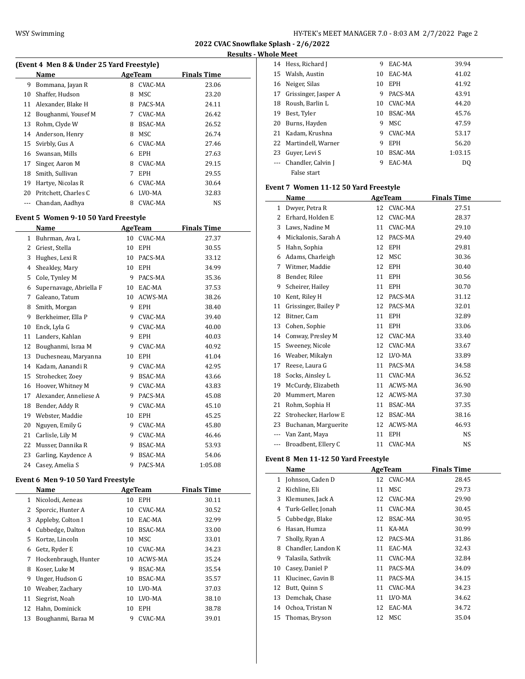**2022 CVAC Snowflake Splash - 2/6/2022 Results - Whole Meet**

| (Event 4 Men 8 & Under 25 Yard Freestyle) |                      |   |            |                    |  |  |  |  |  |  |  |
|-------------------------------------------|----------------------|---|------------|--------------------|--|--|--|--|--|--|--|
|                                           | Name                 |   | AgeTeam    | <b>Finals Time</b> |  |  |  |  |  |  |  |
| 9                                         | Bommana, Jayan R     | 8 | CVAC-MA    | 23.06              |  |  |  |  |  |  |  |
| 10                                        | Shaffer, Hudson      | 8 | MSC        | 23.20              |  |  |  |  |  |  |  |
| 11                                        | Alexander, Blake H   | 8 | PACS-MA    | 24.11              |  |  |  |  |  |  |  |
| 12                                        | Boughanmi, Yousef M  | 7 | CVAC-MA    | 26.42              |  |  |  |  |  |  |  |
| 13                                        | Rohm, Clyde W        | 8 | BSAC-MA    | 26.52              |  |  |  |  |  |  |  |
| 14                                        | Anderson, Henry      | 8 | MSC        | 26.74              |  |  |  |  |  |  |  |
| 15                                        | Svirbly, Gus A       | 6 | CVAC-MA    | 27.46              |  |  |  |  |  |  |  |
| 16                                        | Swansan, Mills       | 6 | <b>EPH</b> | 27.63              |  |  |  |  |  |  |  |
| 17                                        | Singer, Aaron M      | 8 | CVAC-MA    | 29.15              |  |  |  |  |  |  |  |
| 18                                        | Smith, Sullivan      | 7 | <b>EPH</b> | 29.55              |  |  |  |  |  |  |  |
| 19                                        | Hartye, Nicolas R    | 6 | CVAC-MA    | 30.64              |  |  |  |  |  |  |  |
| 20                                        | Pritchett, Charles C | 6 | LVO-MA     | 32.83              |  |  |  |  |  |  |  |
| ---                                       | Chandan, Aadhya      | 8 | CVAC-MA    | NS                 |  |  |  |  |  |  |  |

# **Event 5 Women 9-10 50 Yard Freestyle**

|    | Name                    | <b>AgeTeam</b> |            | <b>Finals Time</b> |  |
|----|-------------------------|----------------|------------|--------------------|--|
| 1  | Buhrman, Ava L          | 10             | CVAC-MA    | 27.37              |  |
| 2  | Griest, Stella          | 10             | <b>EPH</b> | 30.55              |  |
| 3  | Hughes, Lexi R          | 10             | PACS-MA    | 33.12              |  |
| 4  | Sheakley, Mary          | 10             | <b>EPH</b> | 34.99              |  |
| 5  | Cole, Tynley M          | 9              | PACS-MA    | 35.36              |  |
| 6  | Supernavage, Abriella F | 10             | EAC-MA     | 37.53              |  |
| 7  | Galeano, Tatum          | 10             | ACWS-MA    | 38.26              |  |
| 8  | Smith, Morgan           | 9              | <b>EPH</b> | 38.40              |  |
| 9  | Berkheimer, Ella P      | 9              | CVAC-MA    | 39.40              |  |
| 10 | Enck, Lyla G            | 9              | CVAC-MA    | 40.00              |  |
| 11 | Landers, Kahlan         | 9              | <b>EPH</b> | 40.03              |  |
| 12 | Boughanmi, Israa M      | 9              | CVAC-MA    | 40.92              |  |
| 13 | Duchesneau, Maryanna    | 10             | <b>EPH</b> | 41.04              |  |
| 14 | Kadam, Aanandi R        | 9              | CVAC-MA    | 42.95              |  |
| 15 | Strohecker, Zoev        | 9              | BSAC-MA    | 43.66              |  |
| 16 | Hoover, Whitney M       | 9              | CVAC-MA    | 43.83              |  |
| 17 | Alexander, Anneliese A  | 9              | PACS-MA    | 45.08              |  |
| 18 | Bender, Addy R          | 9              | CVAC-MA    | 45.10              |  |
| 19 | Webster, Maddie         | 10             | <b>EPH</b> | 45.25              |  |
| 20 | Nguyen, Emily G         | 9              | CVAC-MA    | 45.80              |  |
| 21 | Carlisle, Lily M        | 9              | CVAC-MA    | 46.46              |  |
| 22 | Musser, Dannika R       | 9              | BSAC-MA    | 53.93              |  |
| 23 | Garling, Kaydence A     | 9              | BSAC-MA    | 54.06              |  |
| 24 | Casey, Amelia S         | 9              | PACS-MA    | 1:05.08            |  |

#### **Event 6 Men 9-10 50 Yard Freestyle**

|    | Name                 | AgeTeam |                | <b>Finals Time</b> |  |
|----|----------------------|---------|----------------|--------------------|--|
| 1  | Nicolodi, Aeneas     | 10      | <b>EPH</b>     | 30.11              |  |
| 2  | Sporcic, Hunter A    | 10      | CVAC-MA        | 30.52              |  |
| 3  | Appleby, Colton I    | 10      | EAC-MA         | 32.99              |  |
| 4  | Cubbedge, Dalton     | 10      | <b>BSAC-MA</b> | 33.00              |  |
| 5  | Kortze, Lincoln      | 10      | MSC            | 33.01              |  |
| 6  | Getz, Ryder E        | 10      | CVAC-MA        | 34.23              |  |
| 7  | Hockenbraugh, Hunter | 10      | ACWS-MA        | 35.24              |  |
| 8  | Koser, Luke M        | 9       | <b>BSAC-MA</b> | 35.54              |  |
| 9  | Unger, Hudson G      | 10      | <b>BSAC-MA</b> | 35.57              |  |
| 10 | Weaber, Zachary      | 10      | LVO-MA         | 37.03              |  |
| 11 | Siegrist, Noah       | 10      | LVO-MA         | 38.10              |  |
|    | 12 Hahn, Dominick    | 10      | EPH            | 38.78              |  |
| 13 | Boughanmi, Baraa M   | 9       | CVAC-MA        | 39.01              |  |

| 14                   | Hess, Richard J       | 9  | EAC-MA     | 39.94          |
|----------------------|-----------------------|----|------------|----------------|
|                      | 15 Walsh, Austin      | 10 | EAC-MA     | 41.02          |
| 16                   | Neiger, Silas         | 10 | EPH        | 41.92          |
| 17                   | Grissinger, Jasper A  | 9  | PACS-MA    | 43.91          |
| 18                   | Roush, Barlin L       |    | 10 CVAC-MA | 44.20          |
| 19                   | Best, Tyler           | 10 | BSAC-MA    | 45.76          |
| 20                   | Burns, Hayden         | 9  | MSC.       | 47.59          |
|                      | 21 Kadam, Krushna     | 9  | CVAC-MA    | 53.17          |
|                      | 22 Martindell, Warner | 9  | <b>EPH</b> | 56.20          |
| 23                   | Guyer, Levi S         | 10 | BSAC-MA    | 1:03.15        |
| $\sim$ $\sim$ $\sim$ | Chandler, Calvin J    | 9  | EAC-MA     | D <sub>0</sub> |
|                      | False start           |    |            |                |

# **Event 7 Women 11-12 50 Yard Freestyle**

|              | Name                 | <b>AgeTeam</b> |            | <b>Finals Time</b> |
|--------------|----------------------|----------------|------------|--------------------|
| $\mathbf{1}$ | Dwyer, Petra R       | 12             | CVAC-MA    | 27.51              |
| 2            | Erhard, Holden E     | 12             | CVAC-MA    | 28.37              |
| 3            | Laws, Nadine M       | 11             | CVAC-MA    | 29.10              |
| 4            | Mickalonis, Sarah A  | 12             | PACS-MA    | 29.40              |
| 5            | Hahn, Sophia         | 12             | <b>EPH</b> | 29.81              |
| 6            | Adams, Charleigh     | 12             | <b>MSC</b> | 30.36              |
| 7            | Witmer, Maddie       | 12             | <b>EPH</b> | 30.40              |
| 8            | Bender, Rilee        | 11             | <b>EPH</b> | 30.56              |
| 9            | Scheirer, Hailey     | 11             | <b>EPH</b> | 30.70              |
| 10           | Kent, Riley H        | 12             | PACS-MA    | 31.12              |
| 11           | Grissinger, Bailey P | 12             | PACS-MA    | 32.01              |
| 12           | Bitner, Cam          | 11             | <b>EPH</b> | 32.89              |
| 13           | Cohen, Sophie        | 11             | <b>EPH</b> | 33.06              |
| 14           | Conway, Presley M    | 12             | CVAC-MA    | 33.40              |
| 15           | Sweeney, Nicole      | 12             | CVAC-MA    | 33.67              |
| 16           | Weaber, Mikalyn      | 12             | LVO-MA     | 33.89              |
| 17           | Reese, Laura G       | 11             | PACS-MA    | 34.58              |
| 18           | Socks, Ainsley L     | 11             | CVAC-MA    | 36.52              |
| 19           | McCurdy, Elizabeth   | 11             | ACWS-MA    | 36.90              |
| 20           | Mummert, Maren       | 12             | ACWS-MA    | 37.30              |
| 21           | Rohm, Sophia H       | 11             | BSAC-MA    | 37.35              |
| 22           | Strohecker, Harlow E | 12             | BSAC-MA    | 38.16              |
| 23           | Buchanan, Marguerite | 12             | ACWS-MA    | 46.93              |
|              | Van Zant, Maya       | 11             | <b>EPH</b> | <b>NS</b>          |
| ---          | Broadbent, Ellery C  | 11             | CVAC-MA    | NS                 |

#### **Event 8 Men 11-12 50 Yard Freestyle**

|              | Name                |    | AgeTeam    | <b>Finals Time</b> |
|--------------|---------------------|----|------------|--------------------|
| $\mathbf{1}$ | Johnson, Caden D    |    | 12 CVAC-MA | 28.45              |
| 2            | Kichline, Eli       | 11 | MSC        | 29.73              |
| 3            | Klemunes, Jack A    | 12 | CVAC-MA    | 29.90              |
| 4            | Turk-Geller, Jonah  | 11 | CVAC-MA    | 30.45              |
| 5            | Cubbedge, Blake     | 12 | BSAC-MA    | 30.95              |
| 6            | Hasan, Humza        | 11 | KA-MA      | 30.99              |
| 7            | Sholly, Ryan A      | 12 | PACS-MA    | 31.86              |
| 8            | Chandler, Landon K  | 11 | EAC-MA     | 32.43              |
| 9            | Talasila, Sathvik   | 11 | CVAC-MA    | 32.84              |
| 10           | Casey, Daniel P     | 11 | PACS-MA    | 34.09              |
| 11           | Klucinec, Gavin B   | 11 | PACS-MA    | 34.15              |
| 12           | Butt, Quinn S       | 11 | CVAC-MA    | 34.23              |
| 13           | Demchak, Chase      | 11 | LVO-MA     | 34.62              |
|              | 14 Ochoa, Tristan N | 12 | EAC-MA     | 34.72              |
| 15           | Thomas, Bryson      |    | 12 MSC     | 35.04              |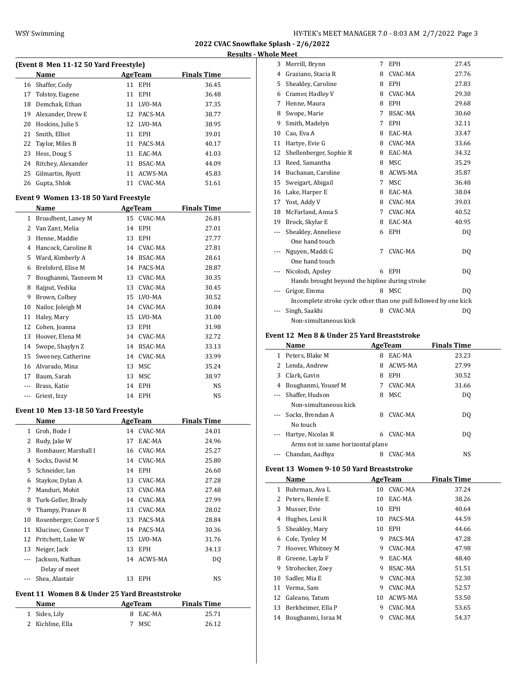**2022 CVAC Snowflake Splash - 2/6/2022 Results - Whole Meet**

|              |                                                      |    |                |                    | ncoults. |
|--------------|------------------------------------------------------|----|----------------|--------------------|----------|
|              | (Event 8 Men 11-12 50 Yard Freestyle)                |    |                |                    |          |
|              | Name                                                 |    | AgeTeam        | <b>Finals Time</b> |          |
|              | 16 Shaffer, Cody                                     |    | 11 EPH         | 36.45              |          |
| 17           | Tolstoy, Eugene                                      |    | 11 EPH         | 36.48              |          |
| 18           | Demchak, Ethan                                       |    | 11 LVO-MA      | 37.35              |          |
| 19           | Alexander, Drew E                                    |    | 12 PACS-MA     | 38.77              |          |
| 20           | Hoskins, Julie S                                     |    | 12 LVO-MA      | 38.95              |          |
| 21           | Smith, Elliot                                        |    | 11 EPH         | 39.01              |          |
| 22           | Taylor, Miles B                                      |    | 11 PACS-MA     | 40.17              |          |
| 23           | Hess, Doug S                                         |    | 11 EAC-MA      | 41.03              |          |
| 24           | Ritchey, Alexander                                   |    | 11 BSAC-MA     | 44.09              |          |
| 25           | Gilmartin, Ryott                                     |    | 11 ACWS-MA     | 45.83              |          |
| 26           | Gupta, Shlok                                         | 11 | CVAC-MA        | 51.61              |          |
|              |                                                      |    |                |                    |          |
|              | Event 9 Women 13-18 50 Yard Freestyle<br><b>Name</b> |    | <b>AgeTeam</b> | <b>Finals Time</b> |          |
|              |                                                      |    |                |                    |          |
|              | 1 Broadbent, Laney M                                 |    | 15 CVAC-MA     | 26.81              |          |
|              | 2 Van Zant, Melia                                    |    | 14 EPH         | 27.01              |          |
| 3            | Henne, Maddie                                        |    | 13 EPH         | 27.77              |          |
| 4            | Hancock, Caroline R                                  |    | 14 CVAC-MA     | 27.81              |          |
| 5            | Ward, Kimberly A                                     |    | 14 BSAC-MA     | 28.61              |          |
| 6            | Brelsford, Elise M                                   |    | 14 PACS-MA     | 28.87              |          |
| 7            | Boughanmi, Tasneem M                                 |    | 13 CVAC-MA     | 30.35              |          |
| 8            | Rajput, Vedika                                       |    | 13 CVAC-MA     | 30.45              |          |
| 9            | Brown, Colbey                                        |    | 15 LVO-MA      | 30.52              |          |
| 10           | Nailor, Joleigh M                                    |    | 14 CVAC-MA     | 30.84              |          |
| 11           | Haley, Mary                                          |    | 15 LVO-MA      | 31.00              |          |
| 12           | Cohen, Joanna                                        |    | 13 EPH         | 31.98              |          |
| 13           | Hoover, Elena M                                      |    | 14 CVAC-MA     | 32.72              |          |
| 14           | Swope, Shaylyn Z                                     |    | 14 BSAC-MA     | 33.13              |          |
| 15           | Sweeney, Catherine                                   |    | 14 CVAC-MA     | 33.99              |          |
| 16           | Alvarado, Mina                                       |    | 13 MSC         | 35.24              |          |
| 17           | Baum, Sarah                                          | 13 | MSC            | 38.97              |          |
| ---          | Brass, Katie                                         |    | 14 EPH         | NS                 |          |
| ---          | Griest, Izzy                                         |    | 14 EPH         | NS                 |          |
|              |                                                      |    |                |                    |          |
|              | Event 10 Men 13-18 50 Yard Freestyle                 |    |                |                    |          |
|              | Name                                                 |    | AgeTeam        | <b>Finals Time</b> |          |
| 1            | Groh, Bode I                                         |    | 14 CVAC-MA     | 24.01              |          |
| 2            | Rudy, Jake W                                         | 17 | EAC-MA         | 24.96              |          |
| 3            | Rombauer, Marshall I                                 |    | 16 CVAC-MA     | 25.27              |          |
| 4            | Socks, David M                                       |    | 14 CVAC-MA     | 25.80              |          |
| 5            | Schneider, Ian                                       |    | 14 EPH         | 26.60              |          |
| 6            | Staykov, Dylan A                                     |    | 13 CVAC-MA     | 27.28              |          |
| 7            | Manduri, Mohit                                       |    | 13 CVAC-MA     | 27.48              |          |
| 8            | Turk-Geller, Brady                                   |    | 14 CVAC-MA     | 27.99              |          |
| 9            | Thampy, Pranav R                                     |    | 13 CVAC-MA     | 28.02              |          |
| 10           | Rosenberger, Connor S                                | 13 | PACS-MA        | 28.84              |          |
| 11           | Klucinec, Connor T                                   |    | 14 PACS-MA     | 30.36              |          |
| 12           | Pritchett, Luke W                                    | 15 | LVO-MA         | 31.76              |          |
| 13           | Neiger, Jack                                         | 13 | EPH            | 34.13              |          |
| ---          | Jackson, Nathan                                      | 14 | ACWS-MA        | DQ                 |          |
|              | Delay of meet                                        |    |                |                    |          |
|              | Shea, Alastair                                       | 13 | EPH            | NS                 |          |
|              | Event 11 Women 8 & Under 25 Yard Breaststroke        |    |                |                    |          |
|              | Name                                                 |    | <b>AgeTeam</b> | <b>Finals Time</b> |          |
| $\mathbf{1}$ | Sides, Lily                                          | 8  | EAC-MA         | 25.71              |          |
| 2            | Kichline, Ella                                       | 7  | MSC            | 26.12              |          |
|              |                                                      |    |                |                    |          |

|    | ule Meet                                                         |   |            |                |
|----|------------------------------------------------------------------|---|------------|----------------|
| 3  | Merrill, Brynn                                                   | 7 | <b>EPH</b> | 27.45          |
| 4  | Graziano, Stacia R                                               | 8 | CVAC-MA    | 27.76          |
| 5  | Sheakley, Caroline                                               | 8 | <b>EPH</b> | 27.83          |
| 6  | Cramer, Hadley V                                                 | 8 | CVAC-MA    | 29.30          |
| 7  | Henne, Maura                                                     | 8 | <b>EPH</b> | 29.68          |
| 8  | Swope, Marie                                                     | 7 | BSAC-MA    | 30.60          |
| 9  | Smith, Madelyn                                                   | 7 | <b>EPH</b> | 32.11          |
| 10 | Cao, Eva A                                                       | 8 | EAC-MA     | 33.47          |
| 11 | Hartye, Evie G                                                   | 8 | CVAC-MA    | 33.66          |
| 12 | Shellenberger, Sophie R                                          | 8 | EAC-MA     | 34.32          |
| 13 | Reed, Samantha                                                   | 8 | <b>MSC</b> | 35.29          |
| 14 | Buchanan, Caroline                                               | 8 | ACWS-MA    | 35.87          |
| 15 | Sweigart, Abigail                                                | 7 | <b>MSC</b> | 36.48          |
| 16 | Lake, Harper E                                                   | 8 | EAC-MA     | 38.04          |
| 17 | Yost, Addy V                                                     | 8 | CVAC-MA    | 39.03          |
| 18 | McFarland, Anna S                                                | 7 | CVAC-MA    | 40.52          |
| 19 | Brock, Skylar E                                                  | 8 | EAC-MA     | 40.95          |
|    | Sheakley, Anneliese                                              | 6 | EPH        | DQ             |
|    | One hand touch                                                   |   |            |                |
|    | Nguyen, Maddi G                                                  | 7 | CVAC-MA    | D <sub>0</sub> |
|    | One hand touch                                                   |   |            |                |
|    | Nicolodi, Apsley                                                 | 6 | EPH        | DQ             |
|    | Hands brought beyond the hipline during stroke                   |   |            |                |
|    | Grigor, Emma                                                     |   | 8 MSC      | DQ             |
|    | Incomplete stroke cycle other than one pull followed by one kick |   |            |                |
|    | Singh, Saakhi                                                    | 8 | CVAC-MA    | DQ             |
|    | Non-simultaneous kick                                            |   |            |                |

## **Event 12 Men 8 & Under 25 Yard Breaststroke**

|              | Name                              |   | AgeTeam    | <b>Finals Time</b> |  |
|--------------|-----------------------------------|---|------------|--------------------|--|
| $\mathbf{1}$ | Peters, Blake M                   | 8 | EAC-MA     | 23.23              |  |
|              | 2 Lenda, Andrew                   | 8 | ACWS-MA    | 27.99              |  |
| 3            | Clark, Gavin                      | 8 | <b>EPH</b> | 30.52              |  |
| 4            | Boughanmi, Yousef M               | 7 | CVAC-MA    | 31.66              |  |
| $\cdots$     | Shaffer, Hudson                   | 8 | MSC        | DO.                |  |
|              | Non-simultaneous kick             |   |            |                    |  |
| $\cdots$     | Socks, Brendan A                  | 8 | CVAC-MA    | DQ                 |  |
|              | No touch                          |   |            |                    |  |
|              | Hartye, Nicolas R                 | 6 | CVAC-MA    | DO.                |  |
|              | Arms not in same horizontal plane |   |            |                    |  |
|              | Chandan, Aadhya                   | 8 | CVAC-MA    | NS                 |  |

## **Event 13 Women 9-10 50 Yard Breaststroke**

|    | Name               |    | AgeTeam        | <b>Finals Time</b> |  |
|----|--------------------|----|----------------|--------------------|--|
| 1  | Buhrman, Ava L     | 10 | CVAC-MA        | 37.24              |  |
| 2  | Peters, Renée E    | 10 | EAC-MA         | 38.26              |  |
| 3  | Musser, Evie       | 10 | <b>EPH</b>     | 40.64              |  |
| 4  | Hughes, Lexi R     | 10 | PACS-MA        | 44.59              |  |
| 5. | Sheakley, Mary     | 10 | <b>EPH</b>     | 44.66              |  |
| 6  | Cole, Tynley M     | 9  | PACS-MA        | 47.28              |  |
| 7  | Hoover, Whitney M  | 9  | CVAC-MA        | 47.98              |  |
| 8  | Greene, Layla F    | 9  | EAC-MA         | 48.40              |  |
| 9  | Strohecker, Zoev   | 9  | <b>BSAC-MA</b> | 51.51              |  |
| 10 | Sadler, Mia E      | 9  | CVAC-MA        | 52.30              |  |
| 11 | Verma, Sam         | 9  | CVAC-MA        | 52.57              |  |
| 12 | Galeano, Tatum     | 10 | ACWS-MA        | 53.50              |  |
| 13 | Berkheimer, Ella P | 9  | CVAC-MA        | 53.65              |  |
| 14 | Boughanmi, Israa M | 9  | CVAC-MA        | 54.37              |  |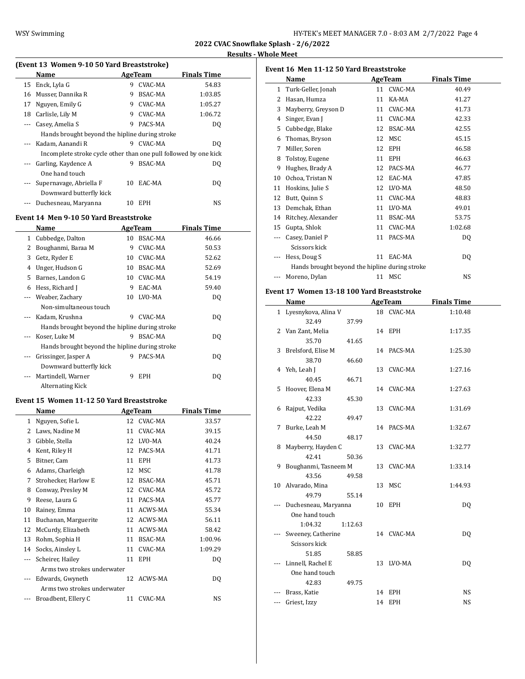$\overline{a}$ 

# **Results - Whole Meet**

| (Event 13 Women 9-10 50 Yard Breaststroke) |                                                                  |    |         |                    |  |  |
|--------------------------------------------|------------------------------------------------------------------|----|---------|--------------------|--|--|
|                                            | Name                                                             |    | AgeTeam | <b>Finals Time</b> |  |  |
| 15                                         | Enck, Lyla G                                                     | 9  | CVAC-MA | 54.83              |  |  |
| 16                                         | Musser, Dannika R                                                | 9  | BSAC-MA | 1:03.85            |  |  |
| 17                                         | Nguyen, Emily G                                                  | 9  | CVAC-MA | 1:05.27            |  |  |
| 18                                         | Carlisle, Lily M                                                 | 9  | CVAC-MA | 1:06.72            |  |  |
|                                            | Casey, Amelia S                                                  | 9  | PACS-MA | DQ                 |  |  |
|                                            | Hands brought beyond the hipline during stroke                   |    |         |                    |  |  |
|                                            | Kadam, Aanandi R                                                 | 9  | CVAC-MA | DO                 |  |  |
|                                            | Incomplete stroke cycle other than one pull followed by one kick |    |         |                    |  |  |
|                                            | Garling, Kaydence A                                              | 9  | BSAC-MA | DO                 |  |  |
|                                            | One hand touch                                                   |    |         |                    |  |  |
|                                            | Supernavage, Abriella F                                          | 10 | EAC-MA  | DO                 |  |  |
|                                            | Downward butterfly kick                                          |    |         |                    |  |  |
|                                            | Duchesneau, Maryanna                                             | 10 | EPH     | NS                 |  |  |
|                                            |                                                                  |    |         |                    |  |  |

## **Event 14 Men 9-10 50 Yard Breaststroke**

|          | Name                                           |    | AgeTeam    | <b>Finals Time</b> |
|----------|------------------------------------------------|----|------------|--------------------|
| 1        | Cubbedge, Dalton                               | 10 | BSAC-MA    | 46.66              |
| 2        | Boughanmi, Baraa M                             | 9  | CVAC-MA    | 50.53              |
| 3        | Getz, Ryder E                                  | 10 | CVAC-MA    | 52.62              |
| 4        | Unger, Hudson G                                | 10 | BSAC-MA    | 52.69              |
| 5.       | Barnes, Landon G                               | 10 | CVAC-MA    | 54.19              |
| 6        | Hess, Richard J                                | 9  | EAC-MA     | 59.40              |
| $\cdots$ | Weaber, Zachary                                | 10 | LVO-MA     | DQ                 |
|          | Non-simultaneous touch                         |    |            |                    |
| $\cdots$ | Kadam, Krushna                                 | 9  | CVAC-MA    | DQ                 |
|          | Hands brought beyond the hipline during stroke |    |            |                    |
|          | Koser, Luke M                                  | 9  | BSAC-MA    | DQ                 |
|          | Hands brought beyond the hipline during stroke |    |            |                    |
|          | Grissinger, Jasper A                           | 9  | PACS-MA    | DQ                 |
|          | Downward butterfly kick                        |    |            |                    |
|          | Martindell, Warner                             | 9  | <b>EPH</b> | DQ                 |
|          | Alternating Kick                               |    |            |                    |

## **Event 15 Women 11-12 50 Yard Breaststroke**

|          | Name                        |    | AgeTeam    | <b>Finals Time</b> |  |
|----------|-----------------------------|----|------------|--------------------|--|
| 1        | Nguyen, Sofie L             | 12 | CVAC-MA    | 33.57              |  |
| 2        | Laws, Nadine M              | 11 | CVAC-MA    | 39.15              |  |
| 3        | Gibble, Stella              | 12 | LVO-MA     | 40.24              |  |
| 4        | Kent, Riley H               | 12 | PACS-MA    | 41.71              |  |
| 5        | Bitner, Cam                 | 11 | <b>EPH</b> | 41.73              |  |
| 6        | Adams, Charleigh            | 12 | MSC        | 41.78              |  |
| 7        | Strohecker, Harlow E        | 12 | BSAC-MA    | 45.71              |  |
| 8        | Conway, Presley M           | 12 | CVAC-MA    | 45.72              |  |
| 9        | Reese, Laura G              | 11 | PACS-MA    | 45.77              |  |
| 10       | Rainey, Emma                | 11 | ACWS-MA    | 55.34              |  |
| 11       | Buchanan, Marguerite        | 12 | ACWS-MA    | 56.11              |  |
| 12       | McCurdy, Elizabeth          | 11 | ACWS-MA    | 58.42              |  |
| 13       | Rohm, Sophia H              | 11 | BSAC-MA    | 1:00.96            |  |
| 14       | Socks, Ainsley L            | 11 | CVAC-MA    | 1:09.29            |  |
| $\cdots$ | Scheirer, Hailey            | 11 | <b>EPH</b> | DQ                 |  |
|          | Arms two strokes underwater |    |            |                    |  |
|          | Edwards, Gwyneth            | 12 | ACWS-MA    | DQ                 |  |
|          | Arms two strokes underwater |    |            |                    |  |
|          | Broadbent, Ellery C         | 11 | CVAC-MA    | NS                 |  |

|              | Name                                           |    | AgeTeam    | <b>Finals Time</b> |
|--------------|------------------------------------------------|----|------------|--------------------|
| $\mathbf{1}$ | Turk-Geller, Jonah                             | 11 | CVAC-MA    | 40.49              |
| 2            | Hasan, Humza                                   | 11 | KA-MA      | 41.27              |
| 3            | Mayberry, Greyson D                            | 11 | CVAC-MA    | 41.73              |
| 4            | Singer, Evan J                                 | 11 | CVAC-MA    | 42.33              |
| 5            | Cubbedge, Blake                                | 12 | BSAC-MA    | 42.55              |
| 6            | Thomas, Bryson                                 | 12 | <b>MSC</b> | 45.15              |
| 7            | Miller, Soren                                  | 12 | <b>EPH</b> | 46.58              |
| 8            | Tolstoy, Eugene                                | 11 | <b>EPH</b> | 46.63              |
| 9            | Hughes, Brady A                                | 12 | PACS-MA    | 46.77              |
| 10           | Ochoa, Tristan N                               | 12 | EAC-MA     | 47.85              |
| 11           | Hoskins, Julie S                               | 12 | LVO-MA     | 48.50              |
| 12           | Butt, Quinn S                                  | 11 | CVAC-MA    | 48.83              |
| 13           | Demchak, Ethan                                 | 11 | LVO-MA     | 49.01              |
| 14           | Ritchey, Alexander                             | 11 | BSAC-MA    | 53.75              |
| 15           | Gupta, Shlok                                   | 11 | CVAC-MA    | 1:02.68            |
|              | Casey, Daniel P                                | 11 | PACS-MA    | DO.                |
|              | Scissors kick                                  |    |            |                    |
|              | Hess, Doug S                                   | 11 | EAC-MA     | DO.                |
|              | Hands brought beyond the hipline during stroke |    |            |                    |
|              | Moreno, Dylan                                  |    | 11 MSC     | NS                 |

## **Event 17 Women 13-18 100 Yard Breaststroke**

|     | Name                   |         | <b>AgeTeam</b> | <b>Finals Time</b> |  |
|-----|------------------------|---------|----------------|--------------------|--|
|     | 1 Lyesnykova, Alina V  |         | 18 CVAC-MA     | 1:10.48            |  |
|     | 32.49                  | 37.99   |                |                    |  |
|     | 2 Van Zant, Melia      |         | 14 EPH         | 1:17.35            |  |
|     | 35.70                  | 41.65   |                |                    |  |
|     | 3 Brelsford, Elise M   |         | 14 PACS-MA     | 1:25.30            |  |
|     | 38.70                  | 46.60   |                |                    |  |
|     | 4 Yeh, Leah J          |         | 13 CVAC-MA     | 1:27.16            |  |
|     | 40.45                  | 46.71   |                |                    |  |
|     | 5 Hoover, Elena M      |         | 14 CVAC-MA     | 1:27.63            |  |
|     | 42.33                  | 45.30   |                |                    |  |
|     | 6 Rajput, Vedika       |         | 13 CVAC-MA     | 1:31.69            |  |
|     | 42.22                  | 49.47   |                |                    |  |
| 7   | Burke, Leah M          |         | 14 PACS-MA     | 1:32.67            |  |
|     | 44.50                  | 48.17   |                |                    |  |
|     | 8 Mayberry, Hayden C   |         | 13 CVAC-MA     | 1:32.77            |  |
|     | 42.41                  | 50.36   |                |                    |  |
|     | 9 Boughanmi, Tasneem M |         | 13 CVAC-MA     | 1:33.14            |  |
|     | 43.56                  | 49.58   |                |                    |  |
|     | 10 Alvarado, Mina      |         | 13 MSC         | 1:44.93            |  |
|     | 49.79                  | 55.14   |                |                    |  |
|     | Duchesneau, Maryanna   |         | 10 EPH         | DQ                 |  |
|     | One hand touch         |         |                |                    |  |
|     | 1:04.32                | 1:12.63 |                |                    |  |
|     | Sweeney, Catherine     |         | 14 CVAC-MA     | DQ                 |  |
|     | Scissors kick          |         |                |                    |  |
|     | 51.85                  | 58.85   |                |                    |  |
|     | Linnell, Rachel E      |         | 13 LVO-MA      | DO.                |  |
|     | One hand touch         |         |                |                    |  |
|     | 42.83                  | 49.75   |                |                    |  |
|     | Brass, Katie           |         | 14 EPH         | NS.                |  |
| --- | Griest, Izzy           |         | 14 EPH         | NS                 |  |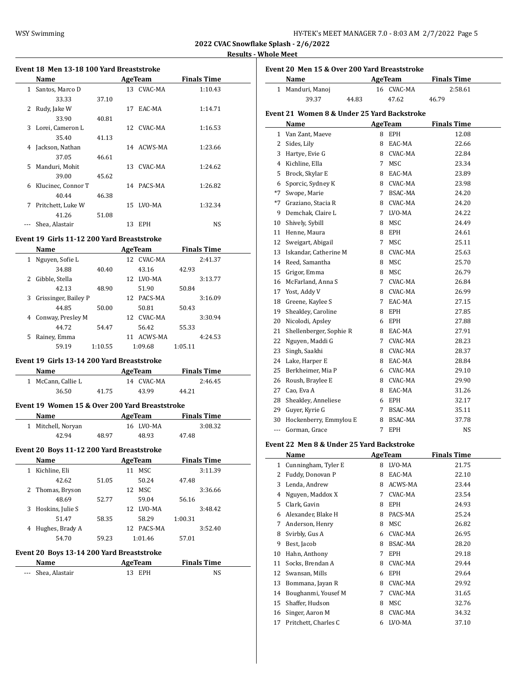| HY-TEK's MEET MANAGER 7.0 - 8:03 AM 2/7/2022 Page 5 |  |  |  |  |  |
|-----------------------------------------------------|--|--|--|--|--|
|-----------------------------------------------------|--|--|--|--|--|

# **Results - Whole Meet**

|   | Name AgeTeam Finals Time                       |       |                |         |                    |  |
|---|------------------------------------------------|-------|----------------|---------|--------------------|--|
|   | 1 Santos, Marco D                              |       | 13 CVAC-MA     |         | 1:10.43            |  |
|   | 33.33                                          | 37.10 |                |         |                    |  |
|   | 2 Rudy, Jake W                                 |       | 17 EAC-MA      |         | 1:14.71            |  |
|   | 33.90                                          | 40.81 |                |         |                    |  |
|   | 3 Lorei, Cameron L                             |       | 12 CVAC-MA     |         | 1:16.53            |  |
|   | 35.40                                          | 41.13 |                |         |                    |  |
|   | 4 Jackson, Nathan                              |       | 14 ACWS-MA     |         | 1:23.66            |  |
|   | 37.05                                          | 46.61 |                |         |                    |  |
|   | 5 Manduri, Mohit                               |       | 13 CVAC-MA     |         | 1:24.62            |  |
|   | 39.00                                          | 45.62 |                |         |                    |  |
|   | 6 Klucinec, Connor T                           |       | 14 PACS-MA     |         | 1:26.82            |  |
|   | 40.44                                          | 46.38 |                |         |                    |  |
|   | 7 Pritchett, Luke W                            |       | 15 LVO-MA      |         | 1:32.34            |  |
|   | 41.26                                          | 51.08 |                |         |                    |  |
|   | --- Shea, Alastair                             |       | 13 EPH         |         | NS                 |  |
|   |                                                |       |                |         |                    |  |
|   | Event 19 Girls 11-12 200 Yard Breaststroke     |       |                |         |                    |  |
|   | <b>Name AgeTeam Finals Time</b>                |       |                |         |                    |  |
|   | 1 Nguyen, Sofie L                              |       | 12 CVAC-MA     |         | 2:41.37            |  |
|   | 34.88                                          | 40.40 | 43.16          | 42.93   |                    |  |
|   | 2 Gibble, Stella                               |       | 12 LVO-MA      |         | 3:13.77            |  |
|   | 42.13                                          | 48.90 | 51.90          | 50.84   |                    |  |
|   | 3 Grissinger, Bailey P                         |       | 12 PACS-MA     |         | 3:16.09            |  |
|   | 44.85                                          | 50.00 | 50.81          | 50.43   |                    |  |
|   | 4 Conway, Presley M                            |       | 12 CVAC-MA     |         | 3:30.94            |  |
|   | 44.72                                          | 54.47 | 56.42          | 55.33   |                    |  |
|   | 5 Rainey, Emma                                 |       | 11 ACWS-MA     |         | 4:24.53            |  |
|   | 59.19 1:10.55 1:09.68 1:05.11                  |       |                |         |                    |  |
|   | Event 19 Girls 13-14 200 Yard Breaststroke     |       |                |         |                    |  |
|   | Name AgeTeam Finals Time                       |       |                |         |                    |  |
|   | 1 McCann, Callie L                             |       | 14 CVAC-MA     |         | 2:46.45            |  |
|   | 36.50 41.75                                    |       | 43.99          | 44.21   |                    |  |
|   |                                                |       |                |         |                    |  |
|   | Event 19 Women 15 & Over 200 Yard Breaststroke |       |                |         |                    |  |
|   | Name AgeTeam Finals Time                       |       |                |         |                    |  |
|   | 1 Mitchell, Noryan                             |       | 16 LVO-MA      |         | 3:08.32            |  |
|   | 42.94                                          | 48.97 | 48.93          | 47.48   |                    |  |
|   | Event 20 Boys 11-12 200 Yard Breaststroke      |       |                |         |                    |  |
|   | Name                                           |       | <b>AgeTeam</b> |         | <b>Finals Time</b> |  |
|   |                                                |       | 11 MSC         |         | 3:11.39            |  |
|   |                                                |       |                | 47.48   |                    |  |
|   | 1 Kichline, Eli                                |       |                |         |                    |  |
|   | 42.62                                          | 51.05 | 50.24          |         |                    |  |
| 2 | Thomas, Bryson                                 |       | 12 MSC         |         | 3:36.66            |  |
|   | 48.69                                          | 52.77 | 59.04          | 56.16   |                    |  |
|   | 3 Hoskins, Julie S                             |       | 12 LVO-MA      |         | 3:48.42            |  |
|   | 51.47                                          | 58.35 | 58.29          | 1:00.31 |                    |  |
|   | 4 Hughes, Brady A                              |       | 12 PACS-MA     |         | 3:52.40            |  |
|   | 54.70                                          | 59.23 | 1:01.46        | 57.01   |                    |  |
|   | Event 20 Boys 13-14 200 Yard Breaststroke      |       |                |         |                    |  |
|   | Name                                           |       | <b>AgeTeam</b> |         | <b>Finals Time</b> |  |

|                | Name                                        |   | AgeTeam        | <b>Finals Time</b> |
|----------------|---------------------------------------------|---|----------------|--------------------|
| $\mathbf{1}$   | Manduri, Manoj                              |   | 16 CVAC-MA     | 2:58.61            |
|                | 39.37<br>44.83                              |   | 47.62          | 46.79              |
|                | Event 21 Women 8 & Under 25 Yard Backstroke |   |                |                    |
|                | Name                                        |   | AgeTeam        | <b>Finals Time</b> |
|                | 1 Van Zant, Maeve                           |   | 8 EPH          | 12.08              |
| $\overline{2}$ | Sides, Lily                                 |   | 8 EAC-MA       | 22.66              |
| 3              | Hartye, Evie G                              |   | 8 CVAC-MA      | 22.84              |
| $\overline{4}$ | Kichline, Ella                              |   | 7 MSC          | 23.34              |
| 5              | Brock, Skylar E                             |   | 8 EAC-MA       | 23.89              |
| 6              | Sporcic, Sydney K                           |   | 8 CVAC-MA      | 23.98              |
| $*7$           | Swope, Marie                                |   | 7 BSAC-MA      | 24.20              |
| $*7$           | Graziano, Stacia R                          |   | 8 CVAC-MA      | 24.20              |
| 9              | Demchak, Claire L                           |   | 7 LVO-MA       | 24.22              |
| 10             | Shively, Sybill                             |   | 8 MSC          | 24.49              |
| 11             | Henne, Maura                                |   | 8 EPH          | 24.61              |
| 12             | Sweigart, Abigail                           |   | 7 MSC          | 25.11              |
| 13             | Iskandar, Catherine M                       |   | 8 CVAC-MA      | 25.63              |
| 14             | Reed, Samantha                              |   | 8 MSC          | 25.70              |
| 15             | Grigor, Emma                                |   | 8 MSC          | 26.79              |
| 16             | McFarland, Anna S                           |   | 7 CVAC-MA      | 26.84              |
| 17             | Yost, Addy V                                |   | 8 CVAC-MA      | 26.99              |
| 18             | Greene, Kaylee S                            |   | 7 EAC-MA       | 27.15              |
| 19             | Sheakley, Caroline                          |   | 8 EPH          | 27.85              |
| 20             | Nicolodi, Apsley                            |   | 6 EPH          | 27.88              |
| 21             | Shellenberger, Sophie R                     |   | 8 EAC-MA       | 27.91              |
| 22             | Nguyen, Maddi G                             |   | 7 CVAC-MA      | 28.23              |
| 23             | Singh, Saakhi                               |   | 8 CVAC-MA      | 28.37              |
| 24             | Lake, Harper E                              |   | 8 EAC-MA       | 28.84              |
| 25             | Berkheimer, Mia P                           |   | 6 CVAC-MA      | 29.10              |
| 26             | Roush, Braylee E                            |   | 8 CVAC-MA      | 29.90              |
| 27             | Cao, Eva A                                  |   | 8 EAC-MA       | 31.26              |
| 28             | Sheakley, Anneliese                         |   | 6 EPH          | 32.17              |
| 29             | Guyer, Kyrie G                              |   | 7 BSAC-MA      | 35.11              |
| 30             | Hockenberry, Emmylou E                      |   | 8 BSAC-MA      | 37.78              |
| $\cdots$       | Gorman, Grace                               | 7 | <b>EPH</b>     | NS                 |
|                | Event 22 Men 8 & Under 25 Yard Backstroke   |   |                |                    |
|                | <u>Name</u>                                 |   | <b>AgeTeam</b> | <b>Finals Time</b> |

|    | Name                 |   | <b>AgeTeam</b> | <b>Finals Time</b> |  |
|----|----------------------|---|----------------|--------------------|--|
| 1  | Cunningham, Tyler E  | 8 | LVO-MA         | 21.75              |  |
| 2  | Fuddy, Donovan P     | 8 | EAC-MA         | 22.10              |  |
| 3  | Lenda, Andrew        | 8 | ACWS-MA        | 23.44              |  |
| 4  | Nguyen, Maddox X     | 7 | CVAC-MA        | 23.54              |  |
| 5  | Clark, Gavin         | 8 | <b>EPH</b>     | 24.93              |  |
| 6  | Alexander, Blake H   | 8 | PACS-MA        | 25.24              |  |
| 7  | Anderson, Henry      | 8 | MSC            | 26.82              |  |
| 8  | Svirbly, Gus A       | 6 | CVAC-MA        | 26.95              |  |
| 9  | Best, Jacob          | 8 | BSAC-MA        | 28.20              |  |
| 10 | Hahn, Anthony        | 7 | <b>EPH</b>     | 29.18              |  |
| 11 | Socks, Brendan A     | 8 | CVAC-MA        | 29.44              |  |
| 12 | Swansan, Mills       | 6 | <b>EPH</b>     | 29.64              |  |
| 13 | Bommana, Jayan R     | 8 | CVAC-MA        | 29.92              |  |
| 14 | Boughanmi, Yousef M  | 7 | CVAC-MA        | 31.65              |  |
| 15 | Shaffer, Hudson      | 8 | MSC            | 32.76              |  |
| 16 | Singer, Aaron M      | 8 | CVAC-MA        | 34.32              |  |
| 17 | Pritchett, Charles C | 6 | LVO-MA         | 37.10              |  |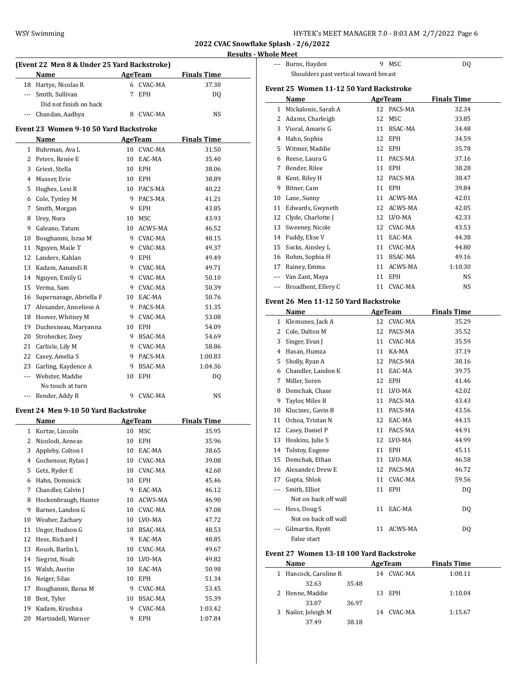| IY-TEK's MEET MANAGER 7.0 - 8:03 AM 2/7/2022 Page 6 |  |  |  |
|-----------------------------------------------------|--|--|--|
|-----------------------------------------------------|--|--|--|

# **Results - Whole Meet**

|              | (Event 22 Men 8 & Under 25 Yard Backstroke)<br>Name |    | AgeTeam             | <b>Finals Time</b> |  |
|--------------|-----------------------------------------------------|----|---------------------|--------------------|--|
| 18           | Hartye, Nicolas R                                   |    | 6 CVAC-MA           | 37.30              |  |
|              | --- Smith, Sullivan                                 | 7  | EPH                 | DQ                 |  |
|              | Did not finish on back                              |    |                     |                    |  |
| ---          | Chandan, Aadhya                                     |    | 8 CVAC-MA           | NS                 |  |
|              | Event 23 Women 9-10 50 Yard Backstroke              |    |                     |                    |  |
|              | <b>Name</b>                                         |    | AgeTeam             | <b>Finals Time</b> |  |
|              | 1 Buhrman, Ava L                                    |    | 10 CVAC-MA          | 31.50              |  |
|              | 2 Peters, Renée E                                   |    | 10 EAC-MA           | 35.40              |  |
|              | 3 Griest, Stella                                    |    | 10 EPH              | 38.06              |  |
|              | 4 Musser, Evie                                      |    | 10 EPH              | 38.89              |  |
|              | 5 Hughes, Lexi R                                    |    | 10 PACS-MA          | 40.22              |  |
|              | 6 Cole, Tynley M                                    |    | 9 PACS-MA           | 41.21              |  |
|              | 7 Smith, Morgan                                     |    | 9 EPH               | 43.85              |  |
|              | 8 Urey, Nora                                        |    | 10 MSC              | 43.93              |  |
|              | 9 Galeano, Tatum                                    |    | 10 ACWS-MA          | 46.52              |  |
|              |                                                     |    |                     |                    |  |
|              | 10 Boughanmi, Israa M                               |    | 9 CVAC-MA           | 48.15              |  |
|              | 11 Nguyen, Maile T                                  |    | 9 CVAC-MA           | 49.37              |  |
|              | 12 Landers, Kahlan                                  |    | 9 EPH               | 49.49              |  |
|              | 13 Kadam, Aanandi R                                 |    | 9 CVAC-MA           | 49.71              |  |
|              | 14 Nguyen, Emily G                                  |    | 9 CVAC-MA           | 50.10              |  |
|              | 15 Verma, Sam                                       |    | 9 CVAC-MA           | 50.39              |  |
|              | 16 Supernavage, Abriella F                          |    | 10 EAC-MA           | 50.76              |  |
|              | 17 Alexander, Anneliese A                           |    | 9 PACS-MA           | 51.35              |  |
|              | 18 Hoover, Whitney M                                |    | 9 CVAC-MA           | 53.08              |  |
|              | 19 Duchesneau, Maryanna                             |    | 10 EPH              | 54.09              |  |
|              | 20 Strohecker, Zoey                                 |    | 9 BSAC-MA           | 54.69              |  |
|              | 21 Carlisle, Lily M                                 |    | 9 CVAC-MA           | 58.86              |  |
|              | 22 Casey, Amelia S                                  |    | 9 PACS-MA           | 1:00.83            |  |
|              | 23 Garling, Kaydence A                              |    | 9 BSAC-MA           | 1:04.36            |  |
|              | --- Webster, Maddie                                 |    | 10 EPH              | DQ                 |  |
|              | No touch at turn                                    |    |                     |                    |  |
|              | --- Bender, Addy R                                  | 9  | CVAC-MA             | NS                 |  |
|              | Event 24 Men 9-10 50 Yard Backstroke                |    |                     |                    |  |
|              | <b>Name</b>                                         |    | AgeTeam             | <b>Finals Time</b> |  |
| $\mathbf{1}$ | Kortze, Lincoln                                     |    | 10 MSC              | 35.95              |  |
| 2            | Nicolodi, Aeneas                                    |    | 10 EPH              | 35.96              |  |
| 3            | Appleby, Colton I                                   | 10 | EAC-MA              | 38.65              |  |
| 4            | Gochenour, Rylan J                                  | 10 | CVAC-MA             | 39.08              |  |
| 5            | Getz, Ryder E                                       | 10 | CVAC-MA             | 42.60              |  |
| 6            | Hahn, Dominick                                      | 10 | EPH                 | 45.46              |  |
| 7            | Chandler, Calvin J                                  | 9  | EAC-MA              | 46.12              |  |
| 8            | Hockenbraugh, Hunter                                | 10 | ACWS-MA             | 46.90              |  |
| 9            | Barnes, Landon G                                    | 10 | CVAC-MA             | 47.08              |  |
| 10           | Weaber, Zachary                                     | 10 | LVO-MA              | 47.72              |  |
| 11           | Unger, Hudson G                                     | 10 | BSAC-MA             | 48.53              |  |
| 12           | Hess, Richard J                                     | 9  | EAC-MA              | 48.85              |  |
| 13           | Roush, Barlin L                                     | 10 | CVAC-MA             | 49.67              |  |
| 14           |                                                     |    |                     |                    |  |
|              | Siegrist, Noah                                      |    | 10 LVO-MA<br>EAC-MA | 49.82              |  |
| 15           | Walsh, Austin                                       | 10 |                     | 50.98              |  |
| 16           | Neiger, Silas                                       | 10 | EPH                 | 51.34              |  |
| 17           | Boughanmi, Baraa M                                  | 9  | CVAC-MA             | 53.45              |  |
| 18           | Best, Tyler                                         |    | 10 BSAC-MA          | 55.39              |  |
| 19           | Kadam, Krushna                                      | 9  | CVAC-MA             | 1:03.42            |  |
| 20           | Martindell, Warner                                  | 9  | <b>EPH</b>          | 1:07.84            |  |

|          | --- Burns, Hayden                        | 9. | MSC                             | DQ                 |  |
|----------|------------------------------------------|----|---------------------------------|--------------------|--|
|          | Shoulders past vertical toward breast    |    |                                 |                    |  |
|          |                                          |    |                                 |                    |  |
|          | Event 25 Women 11-12 50 Yard Backstroke  |    |                                 |                    |  |
|          | Name                                     |    | AgeTeam                         | <b>Finals Time</b> |  |
|          | 1 Mickalonis, Sarah A                    |    | 12 PACS-MA                      | 32.34              |  |
|          | 2 Adams, Charleigh                       |    | 12 MSC                          | 33.85              |  |
|          | 3 Vioral, Amaris G                       |    | 11 BSAC-MA                      | 34.48              |  |
|          | 4 Hahn, Sophia                           |    | 12 EPH                          | 34.59              |  |
|          | 5 Witmer, Maddie                         |    | 12 EPH                          | 35.78              |  |
|          | 6 Reese, Laura G                         |    | 11 PACS-MA                      | 37.16              |  |
|          | 7 Bender, Rilee                          |    | 11 EPH                          | 38.28              |  |
|          | 8 Kent, Riley H                          |    | 12 PACS-MA                      | 38.47              |  |
|          | 9 Bitner, Cam                            |    | 11 EPH                          | 39.84              |  |
|          | 10 Lane, Sunny                           |    | 11 ACWS-MA                      | 42.01              |  |
|          | 11 Edwards, Gwyneth                      |    | 12 ACWS-MA                      | 42.05              |  |
|          | 12 Clyde, Charlotte J                    |    | 12 LVO-MA                       | 42.33              |  |
|          | 13 Sweeney, Nicole                       |    | 12 CVAC-MA                      | 43.53              |  |
|          | 14 Fuddy, Elise V                        |    | 11 EAC-MA                       | 44.38              |  |
|          | 15 Socks, Ainsley L                      |    | 11 CVAC-MA                      | 44.80              |  |
|          | 16 Rohm, Sophia H                        |    | 11 BSAC-MA                      | 49.16              |  |
|          | 17 Rainey, Emma                          |    | 11 ACWS-MA                      | 1:10.30            |  |
|          | --- Van Zant, Maya                       |    | 11 EPH                          | NS                 |  |
|          | --- Broadbent, Ellery C                  |    | 11 CVAC-MA                      | NS                 |  |
|          | Event 26 Men 11-12 50 Yard Backstroke    |    |                                 |                    |  |
|          | Name                                     |    | AgeTeam                         | <b>Finals Time</b> |  |
|          | 1 Klemunes, Jack A                       |    | 12 CVAC-MA                      | 35.29              |  |
|          | 2 Cole, Dalton M                         | 12 | PACS-MA                         | 35.52              |  |
|          | 3 Singer, Evan J                         |    | 11 CVAC-MA                      | 35.59              |  |
|          | 4 Hasan, Humza                           |    | 11 KA-MA                        | 37.19              |  |
|          | 5 Sholly, Ryan A                         |    | 12 PACS-MA                      | 38.16              |  |
|          | 6 Chandler, Landon K                     |    | 11 EAC-MA                       | 39.75              |  |
|          | 7 Miller, Soren                          |    | 12 EPH                          | 41.46              |  |
|          | 8 Demchak, Chase                         |    | 11 LVO-MA                       | 42.02              |  |
| 9        | Taylor, Miles B                          |    | 11 PACS-MA                      | 43.43              |  |
|          | 10 Klucinec, Gavin B                     |    | 11 PACS-MA                      | 43.56              |  |
|          | 11 Ochoa, Tristan N                      |    | 12 EAC-MA                       | 44.15              |  |
|          | 12 Casey, Daniel P                       |    | 11 PACS-MA                      | 44.91              |  |
| 13       | Hoskins, Julie S                         | 12 | LVO-MA                          | 44.99              |  |
|          | 14 Tolstoy, Eugene                       |    | 11 EPH                          | 45.11              |  |
| 15       | Demchak, Ethan                           | 11 | LVO-MA                          | 46.58              |  |
|          | 16 Alexander, Drew E                     | 12 | PACS-MA                         | 46.72              |  |
|          | 17 Gupta, Shlok                          | 11 | CVAC-MA                         | 59.56              |  |
| цци<br>1 | Smith, Elliot                            | 11 | <b>EPH</b>                      | DQ                 |  |
|          | Not on back off wall                     |    |                                 |                    |  |
|          | --- Hess, Doug S                         | 11 | EAC-MA                          | DQ                 |  |
|          | Not on back off wall                     |    |                                 |                    |  |
|          | --- Gilmartin, Ryott                     |    | 11 ACWS-MA                      | DQ                 |  |
|          | False start                              |    |                                 |                    |  |
|          |                                          |    |                                 |                    |  |
|          | Event 27 Women 13-18 100 Yard Backstroke |    |                                 |                    |  |
|          | Name                                     |    | $A \sigma \rho T \rho \sigma m$ | Finale Time        |  |

| Name |                       |       | AgeTeam | <b>Finals Time</b> |         |  |
|------|-----------------------|-------|---------|--------------------|---------|--|
|      | 1 Hancock, Caroline R |       | 14      | CVAC-MA            | 1:08.11 |  |
|      | 32.63                 | 35.48 |         |                    |         |  |
|      | 2 Henne, Maddie       |       |         | 13 EPH             | 1:10.04 |  |
|      | 33.07                 | 36.97 |         |                    |         |  |
|      | 3 Nailor, Joleigh M   |       |         | 14 CVAC-MA         | 1:15.67 |  |
|      | 37.49                 | 38.18 |         |                    |         |  |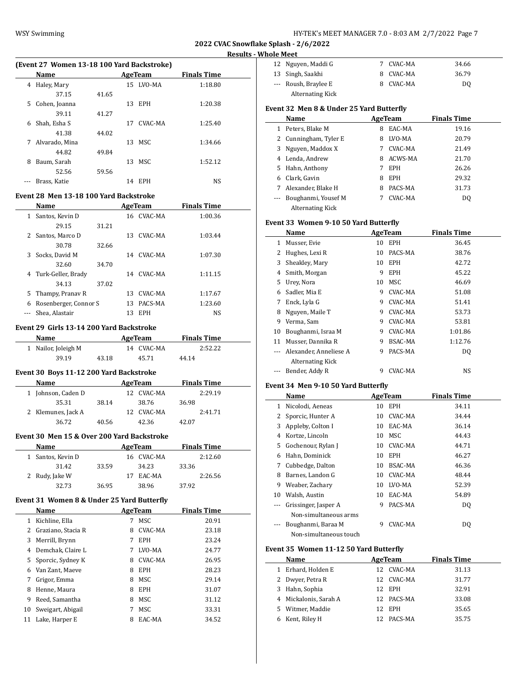| HY-TEK's MEET MANAGER 7.0 - 8:03 AM  2/7/2022  Page 7 |  |  |
|-------------------------------------------------------|--|--|
|-------------------------------------------------------|--|--|

**Results - Whole Meet**

 $\frac{1}{2}$ 

 $\overline{\phantom{a}}$ 

## **Event 28 Men 13-18 100 Yard Backstroke**

|   | Name                  | AgeTeam |    |            | <b>Finals Time</b> |
|---|-----------------------|---------|----|------------|--------------------|
| 1 | Santos, Kevin D       |         |    | 16 CVAC-MA | 1:00.36            |
|   | 29.15                 | 31.21   |    |            |                    |
| 2 | Santos, Marco D       |         |    | 13 CVAC-MA | 1:03.44            |
|   | 30.78                 | 32.66   |    |            |                    |
| 3 | Socks, David M        |         | 14 | CVAC-MA    | 1:07.30            |
|   | 32.60                 | 34.70   |    |            |                    |
|   | 4 Turk-Geller, Brady  |         | 14 | CVAC-MA    | 1:11.15            |
|   | 34.13                 | 37.02   |    |            |                    |
| 5 | Thampy, Pranay R      |         | 13 | CVAC-MA    | 1:17.67            |
| 6 | Rosenberger, Connor S |         | 13 | PACS-MA    | 1:23.60            |
|   | Shea, Alastair        |         | 13 | EPH        | NS                 |

#### **Event 29 Girls 13-14 200 Yard Backstroke**

| Name                |       | AgeTeam |            | <b>Finals Time</b> |  |
|---------------------|-------|---------|------------|--------------------|--|
| 1 Nailor, Joleigh M |       |         | 14 CVAC-MA | 2:52.22            |  |
| 39.19               | 43.18 |         | 45.71      | 44.14              |  |

# **Event 30 Boys 11-12 200 Yard Backstroke**

| <b>Name</b>        | AgeTeam |            | <b>Finals Time</b> |  |
|--------------------|---------|------------|--------------------|--|
| 1 Johnson, Caden D |         | 12 CVAC-MA | 2:29.19            |  |
| 35.31              | 38.14   | 38.76      | 36.98              |  |
| 2 Klemunes, Jack A |         | 12 CVAC-MA | 2:41.71            |  |
| 36.72              | 40.56   | 42.36      | 42.07              |  |

#### **Event 30 Men 15 & Over 200 Yard Backstroke**

| <b>Name</b>       |       |    | AgeTeam    |       | <b>Finals Time</b> |  |
|-------------------|-------|----|------------|-------|--------------------|--|
| 1 Santos, Kevin D |       |    | 16 CVAC-MA |       | 2:12.60            |  |
| 31.42             | 33.59 |    | 34.23      | 33.36 |                    |  |
| 2 Rudy, Jake W    |       | 17 | EAC-MA     |       | 2:26.56            |  |
| 32.73             | 36.95 |    | 38.96      | 37.92 |                    |  |

## **Event 31 Women 8 & Under 25 Yard Butterfly**

|    | Name                | AgeTeam |            | <b>Finals Time</b> |
|----|---------------------|---------|------------|--------------------|
| 1. | Kichline, Ella      | 7       | MSC        | 20.91              |
| 2  | Graziano, Stacia R  | 8       | CVAC-MA    | 23.18              |
| 3  | Merrill, Brynn      |         | <b>EPH</b> | 23.24              |
| 4  | Demchak, Claire L   |         | LVO-MA     | 24.77              |
|    | 5 Sporcic, Sydney K | 8       | CVAC-MA    | 26.95              |
| 6  | Van Zant, Maeve     | 8       | <b>EPH</b> | 28.23              |
| 7  | Grigor, Emma        | 8       | MSC        | 29.14              |
| 8  | Henne, Maura        | 8       | <b>EPH</b> | 31.07              |
| 9  | Reed, Samantha      | 8       | MSC        | 31.12              |
| 10 | Sweigart, Abigail   |         | MSC        | 33.31              |
| 11 | Lake, Harper E      | 8       | EAC-MA     | 34.52              |

| 12 Nguyen, Maddi G   | 7 CVAC-MA | 34.66 |  |
|----------------------|-----------|-------|--|
| 13 Singh, Saakhi     | 8 CVAC-MA | 36.79 |  |
| --- Roush, Braylee E | 8 CVAC-MA | DO.   |  |
| Alternating Kick     |           |       |  |

# **Event 32 Men 8 & Under 25 Yard Butterfly**

|              | Name                    | AgeTeam |            | <b>Finals Time</b> |
|--------------|-------------------------|---------|------------|--------------------|
| $\mathbf{1}$ | Peters, Blake M         | 8       | EAC-MA     | 19.16              |
|              | 2 Cunningham, Tyler E   | 8       | LVO-MA     | 20.79              |
| 3            | Nguyen, Maddox X        |         | CVAC-MA    | 21.49              |
| 4            | Lenda, Andrew           | 8       | ACWS-MA    | 21.70              |
| 5.           | Hahn, Anthony           |         | <b>EPH</b> | 26.26              |
| 6            | Clark, Gavin            | 8       | <b>EPH</b> | 29.32              |
| 7            | Alexander, Blake H      | 8       | PACS-MA    | 31.73              |
|              | Boughanmi, Yousef M     |         | CVAC-MA    | D <sub>0</sub>     |
|              | <b>Alternating Kick</b> |         |            |                    |

## **Event 33 Women 9-10 50 Yard Butterfly**

|     | Name                   | AgeTeam |            | <b>Finals Time</b> |  |
|-----|------------------------|---------|------------|--------------------|--|
| 1   | Musser, Evie           | 10      | <b>EPH</b> | 36.45              |  |
| 2   | Hughes, Lexi R         | 10      | PACS-MA    | 38.76              |  |
| 3   | Sheakley, Mary         | 10      | <b>EPH</b> | 42.72              |  |
| 4   | Smith, Morgan          | 9       | EPH        | 45.22              |  |
| 5   | Urev, Nora             | 10      | MSC        | 46.69              |  |
| 6   | Sadler, Mia E          | 9       | CVAC-MA    | 51.08              |  |
| 7   | Enck, Lyla G           | 9       | CVAC-MA    | 51.41              |  |
| 8   | Nguyen, Maile T        | 9       | CVAC-MA    | 53.73              |  |
| 9   | Verma, Sam             | 9       | CVAC-MA    | 53.81              |  |
| 10  | Boughanmi, Israa M     | 9       | CVAC-MA    | 1:01.86            |  |
| 11  | Musser, Dannika R      | 9       | BSAC-MA    | 1:12.76            |  |
|     | Alexander, Anneliese A | 9       | PACS-MA    | DQ                 |  |
|     | Alternating Kick       |         |            |                    |  |
| --- | Bender, Addy R         | 9       | CVAC-MA    | NS                 |  |

# **Event 34 Men 9-10 50 Yard Butterfly**

|    | Name                   | <b>AgeTeam</b> |                | <b>Finals Time</b> |  |
|----|------------------------|----------------|----------------|--------------------|--|
| 1  | Nicolodi, Aeneas       | 10             | EPH            | 34.11              |  |
| 2  | Sporcic, Hunter A      | 10             | CVAC-MA        | 34.44              |  |
| 3  | Appleby, Colton I      | 10             | EAC-MA         | 36.14              |  |
| 4  | Kortze, Lincoln        | 10             | MSC            | 44.43              |  |
| 5  | Gochenour, Rylan J     | 10             | CVAC-MA        | 44.71              |  |
| 6  | Hahn, Dominick         | 10             | <b>EPH</b>     | 46.27              |  |
| 7  | Cubbedge, Dalton       | 10             | <b>BSAC-MA</b> | 46.36              |  |
| 8  | Barnes, Landon G       | 10             | CVAC-MA        | 48.44              |  |
| 9  | Weaber, Zachary        | 10             | LVO-MA         | 52.39              |  |
| 10 | Walsh, Austin          | 10             | EAC-MA         | 54.89              |  |
|    | Grissinger, Jasper A   | 9              | PACS-MA        | DQ                 |  |
|    | Non-simultaneous arms  |                |                |                    |  |
|    | Boughanmi, Baraa M     | 9              | CVAC-MA        | DO                 |  |
|    | Non-simultaneous touch |                |                |                    |  |

#### **Event 35 Women 11-12 50 Yard Butterfly**

|    | Name                  | AgeTeam |            | <b>Finals Time</b> |
|----|-----------------------|---------|------------|--------------------|
| 1  | Erhard, Holden E      |         | 12 CVAC-MA | 31.13              |
|    | 2 Dwyer, Petra R      |         | 12 CVAC-MA | 31.77              |
|    | 3 Hahn, Sophia        |         | 12 EPH     | 32.91              |
|    | 4 Mickalonis, Sarah A |         | 12 PACS-MA | 33.08              |
|    | 5 Witmer, Maddie      |         | 12 EPH     | 35.65              |
| 6. | Kent, Riley H         |         | 12 PACS-MA | 35.75              |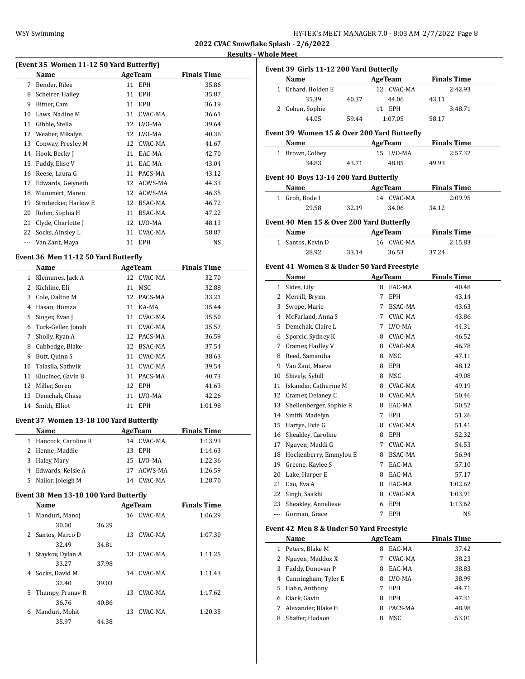| HY-TEK's MEET MANAGER 7.0 - 8:03 AM 2/7/2022 Page 8 |  |  |
|-----------------------------------------------------|--|--|
|-----------------------------------------------------|--|--|

#### **Results - Whole Meet**

|    |                                          |    |                | ZUZZ UVAL 5        |    |
|----|------------------------------------------|----|----------------|--------------------|----|
|    |                                          |    |                |                    | Re |
|    | (Event 35 Women 11-12 50 Yard Butterfly) |    |                |                    |    |
|    | Name                                     |    | <b>AgeTeam</b> | <b>Finals Time</b> |    |
| 7  | Bender, Rilee                            | 11 | <b>EPH</b>     | 35.86              |    |
| 8  | Scheirer, Hailey                         | 11 | <b>EPH</b>     | 35.87              |    |
| 9  | Bitner, Cam                              | 11 | <b>EPH</b>     | 36.19              |    |
| 10 | Laws, Nadine M                           | 11 | CVAC-MA        | 36.61              |    |
| 11 | Gibble, Stella                           | 12 | LVO-MA         | 39.64              |    |
| 12 | Weaber, Mikalyn                          | 12 | LVO-MA         | 40.36              |    |
| 13 | Conway, Presley M                        | 12 | CVAC-MA        | 41.67              |    |
| 14 | Hook, Becky J                            | 11 | EAC-MA         | 42.70              |    |
| 15 | Fuddy, Elise V                           | 11 | EAC-MA         | 43.04              |    |
| 16 | Reese, Laura G                           | 11 | PACS-MA        | 43.12              |    |
| 17 | Edwards, Gwyneth                         | 12 | ACWS-MA        | 44.33              |    |
| 18 | Mummert, Maren                           | 12 | ACWS-MA        | 46.35              |    |
| 19 | Strohecker, Harlow E                     | 12 | BSAC-MA        | 46.72              |    |
| 20 | Rohm, Sophia H                           | 11 | BSAC-MA        | 47.22              |    |
| 21 | Clyde, Charlotte J                       | 12 | LVO-MA         | 48.13              |    |
| 22 | Socks, Ainsley L                         | 11 | <b>CVAC-MA</b> | 58.87              |    |

--- Van Zant, Maya 11 EPH NS

#### **Event 36 Men 11-12 50 Yard Butterfly**

|    | Name               | <b>AgeTeam</b> |            | <b>Finals Time</b> |
|----|--------------------|----------------|------------|--------------------|
| 1  | Klemunes, Jack A   |                | 12 CVAC-MA | 32.70              |
| 2  | Kichline, Eli      | 11             | MSC        | 32.88              |
| 3  | Cole. Dalton M     |                | 12 PACS-MA | 33.21              |
| 4  | Hasan, Humza       | 11             | KA-MA      | 35.44              |
| 5  | Singer, Evan J     | 11             | CVAC-MA    | 35.50              |
| 6  | Turk-Geller, Jonah | 11             | CVAC-MA    | 35.57              |
| 7  | Sholly, Ryan A     |                | 12 PACS-MA | 36.59              |
| 8  | Cubbedge, Blake    | 12             | BSAC-MA    | 37.54              |
| 9  | Butt, Quinn S      | 11             | CVAC-MA    | 38.63              |
| 10 | Talasila, Sathvik  | 11             | CVAC-MA    | 39.54              |
| 11 | Klucinec, Gavin B  | 11             | PACS-MA    | 40.73              |
| 12 | Miller, Soren      |                | 12 EPH     | 41.63              |
| 13 | Demchak, Chase     | 11             | LVO-MA     | 42.26              |
| 14 | Smith, Elliot      | 11             | EPH        | 1:01.98            |

#### **Event 37 Women 13-18 100 Yard Butterfly**

| <b>Name</b>           |     | AgeTeam    | <b>Finals Time</b> |
|-----------------------|-----|------------|--------------------|
| 1 Hancock, Caroline R |     | 14 CVAC-MA | 1:13.93            |
| 2 Henne, Maddie       | 13. | EPH        | 1:14.63            |
| 3 Haley, Mary         |     | 15 LVO-MA  | 1:22.36            |
| 4 Edwards, Kelsie A   |     | 17 ACWS-MA | 1:26.59            |
| 5 Nailor, Joleigh M   | 14  | CVAC-MA    | 1:28.70            |

#### **Event 38 Men 13-18 100 Yard Butterfly**

|    | <b>Name</b>      |       |    | AgeTeam    | <b>Finals Time</b> |
|----|------------------|-------|----|------------|--------------------|
| 1  | Manduri, Manoj   |       |    | 16 CVAC-MA | 1:06.29            |
|    | 30.00            | 36.29 |    |            |                    |
| 2  | Santos, Marco D  |       | 13 | CVAC-MA    | 1:07.30            |
|    | 32.49            | 34.81 |    |            |                    |
| 3  | Staykov, Dylan A |       |    | 13 CVAC-MA | 1:11.25            |
|    | 33.27            | 37.98 |    |            |                    |
| 4  | Socks. David M   |       |    | 14 CVAC-MA | 1:11.43            |
|    | 32.40            | 39.03 |    |            |                    |
| 5. | Thampy, Pranay R |       | 13 | CVAC-MA    | 1:17.62            |
|    | 36.76            | 40.86 |    |            |                    |
| 6  | Manduri, Mohit   |       | 13 | CVAC-MA    | 1:20.35            |
|    | 35.97            | 44.38 |    |            |                    |

| Event 39 Girls 11-12 200 Yard Butterfly |                  |         |                    |         |  |  |  |  |
|-----------------------------------------|------------------|---------|--------------------|---------|--|--|--|--|
| Name                                    |                  | AgeTeam | <b>Finals Time</b> |         |  |  |  |  |
| 1                                       | Erhard, Holden E |         | CVAC-MA<br>12.     | 2:42.93 |  |  |  |  |
|                                         | 35.39            | 40.37   | 44.06              | 43.11   |  |  |  |  |
|                                         | 2 Cohen, Sophie  |         | EPH<br>11          | 3:48.71 |  |  |  |  |
|                                         | 44.05            | 59.44   | 1:07.05            | 58.17   |  |  |  |  |

#### **Event 39 Women 15 & Over 200 Yard Butterfly**

| <b>Name</b>     |       | AgeTeam   | <b>Finals Time</b> |  |
|-----------------|-------|-----------|--------------------|--|
| 1 Brown, Colbey |       | 15 LVO-MA | 2:57.32            |  |
| 34.83           | 43.71 | 48.85     | 49.93              |  |

# **Event 40 Boys 13-14 200 Yard Butterfly**

| Name           |       | AgeTeam    | <b>Finals Time</b> |
|----------------|-------|------------|--------------------|
| 1 Groh, Bode I |       | 14 CVAC-MA | 2:09.95            |
| 29.58          | 32.19 | 34.06      | 34.12              |

#### **Event 40 Men 15 & Over 200 Yard Butterfly**

| Name              |       | AgeTeam    | <b>Finals Time</b> |  |
|-------------------|-------|------------|--------------------|--|
| 1 Santos, Kevin D |       | 16 CVAC-MA | 2:15.83            |  |
| 28.92             | 33.14 | 36.53      | 37.24              |  |

#### **Event 41 Women 8 & Under 50 Yard Freestyle**

|              | Name                    |   | <b>AgeTeam</b> | <b>Finals Time</b> |
|--------------|-------------------------|---|----------------|--------------------|
| $\mathbf{1}$ | Sides, Lily             | 8 | EAC-MA         | 40.48              |
| 2            | Merrill, Brynn          | 7 | <b>EPH</b>     | 43.14              |
| 3            | Swope, Marie            | 7 | BSAC-MA        | 43.63              |
| 4            | McFarland, Anna S       | 7 | CVAC-MA        | 43.86              |
| 5            | Demchak, Claire L       | 7 | LVO-MA         | 44.31              |
| 6            | Sporcic, Sydney K       | 8 | CVAC-MA        | 46.52              |
| 7            | Cramer, Hadley V        | 8 | CVAC-MA        | 46.78              |
| 8            | Reed. Samantha          | 8 | <b>MSC</b>     | 47.11              |
| 9            | Van Zant, Maeve         | 8 | <b>EPH</b>     | 48.12              |
| 10           | Shively, Sybill         | 8 | <b>MSC</b>     | 49.08              |
| 11           | Iskandar, Catherine M   | 8 | CVAC-MA        | 49.19              |
| 12           | Cramer, Delaney C       | 8 | CVAC-MA        | 50.46              |
| 13           | Shellenberger, Sophie R | 8 | EAC-MA         | 50.52              |
| 14           | Smith, Madelyn          | 7 | <b>EPH</b>     | 51.26              |
| 15           | Hartye, Evie G          | 8 | CVAC-MA        | 51.41              |
| 16           | Sheakley, Caroline      | 8 | <b>EPH</b>     | 52.32              |
| 17           | Nguyen, Maddi G         | 7 | CVAC-MA        | 54.53              |
| 18           | Hockenberry, Emmylou E  | 8 | BSAC-MA        | 56.94              |
| 19           | Greene, Kaylee S        | 7 | EAC-MA         | 57.10              |
| 20           | Lake, Harper E          | 8 | EAC-MA         | 57.17              |
| 21           | Cao, Eva A              | 8 | EAC-MA         | 1:02.62            |
| 22           | Singh, Saakhi           | 8 | CVAC-MA        | 1:03.91            |
| 23           | Sheakley, Anneliese     | 6 | <b>EPH</b>     | 1:13.62            |
| $---$        | Gorman, Grace           | 7 | <b>EPH</b>     | NS                 |

## **Event 42 Men 8 & Under 50 Yard Freestyle**

|   | Name                  |   | AgeTeam    | <b>Finals Time</b> |
|---|-----------------------|---|------------|--------------------|
| 1 | Peters, Blake M       | 8 | EAC-MA     | 37.42              |
|   | 2 Nguyen, Maddox X    |   | CVAC-MA    | 38.23              |
| 3 | Fuddy, Donovan P      | 8 | EAC-MA     | 38.83              |
|   | 4 Cunningham, Tyler E | 8 | LVO-MA     | 38.99              |
|   | 5 Hahn, Anthony       |   | <b>EPH</b> | 44.71              |
| 6 | Clark, Gavin          | 8 | <b>EPH</b> | 47.31              |
| 7 | Alexander, Blake H    | 8 | PACS-MA    | 48.98              |
| 8 | Shaffer, Hudson       | 8 | MSC        | 53.01              |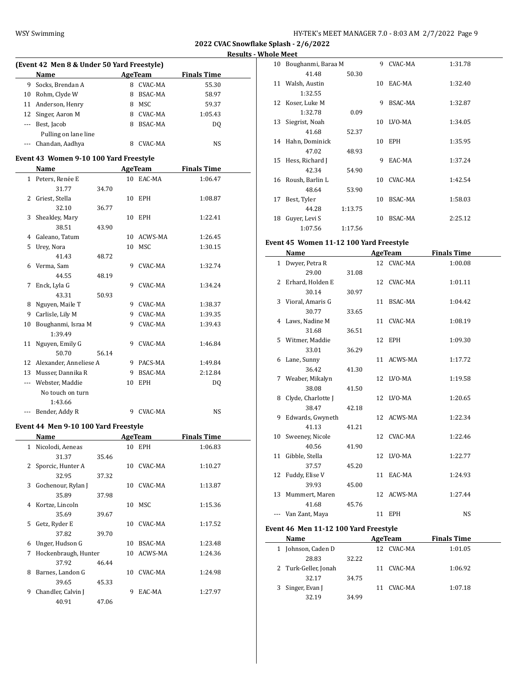$\overline{a}$ 

 $\overline{\phantom{0}}$ 

**2022 CVAC Snowflake Splash - 2/6/2022**

**Results - Whole Meet**

| (Event 42 Men 8 & Under 50 Yard Freestyle) |                      |   |                |                    |  |  |  |
|--------------------------------------------|----------------------|---|----------------|--------------------|--|--|--|
|                                            | <b>Name</b>          |   | AgeTeam        | <b>Finals Time</b> |  |  |  |
| 9                                          | Socks, Brendan A     | 8 | CVAC-MA        | 55.30              |  |  |  |
| 10                                         | Rohm, Clyde W        | 8 | BSAC-MA        | 58.97              |  |  |  |
|                                            | 11 Anderson, Henry   | 8 | MSC.           | 59.37              |  |  |  |
|                                            | 12 Singer, Aaron M   | 8 | CVAC-MA        | 1:05.43            |  |  |  |
|                                            | Best, Jacob          | 8 | <b>BSAC-MA</b> | DO.                |  |  |  |
|                                            | Pulling on lane line |   |                |                    |  |  |  |
|                                            | Chandan, Aadhya      |   | CVAC-MA        | NS                 |  |  |  |

# **Event 43 Women 9-10 100 Yard Freestyle**

|          | <b>Name</b>               |       |    | <b>AgeTeam</b> | <b>Finals Time</b> |
|----------|---------------------------|-------|----|----------------|--------------------|
|          | 1 Peters, Renée E         |       |    | 10 EAC-MA      | 1:06.47            |
|          | 31.77                     | 34.70 |    |                |                    |
| 2        | Griest, Stella            |       |    | 10 EPH         | 1:08.87            |
|          | 32.10                     | 36.77 |    |                |                    |
| 3        | Sheakley, Mary            |       |    | 10 EPH         | 1:22.41            |
|          | 38.51                     | 43.90 |    |                |                    |
| 4        | Galeano, Tatum            |       |    | 10 ACWS-MA     | 1:26.45            |
| 5        | Urey, Nora                |       | 10 | <b>MSC</b>     | 1:30.15            |
|          | 41.43                     | 48.72 |    |                |                    |
|          | 6 Verma, Sam              |       | 9  | CVAC-MA        | 1:32.74            |
|          | 44.55                     | 48.19 |    |                |                    |
| 7        | Enck, Lyla G              |       | 9  | CVAC-MA        | 1:34.24            |
|          | 43.31                     | 50.93 |    |                |                    |
|          | 8 Nguyen, Maile T         |       | 9  | CVAC-MA        | 1:38.37            |
| 9        | Carlisle, Lily M          |       | 9  | CVAC-MA        | 1:39.35            |
| 10       | Boughanmi, Israa M        |       | 9  | CVAC-MA        | 1:39.43            |
|          | 1:39.49                   |       |    |                |                    |
| 11       | Nguyen, Emily G           |       | 9  | CVAC-MA        | 1:46.84            |
|          | 50.70                     | 56.14 |    |                |                    |
|          | 12 Alexander, Anneliese A |       | 9  | PACS-MA        | 1:49.84            |
| 13       | Musser, Dannika R         |       | 9  | <b>BSAC-MA</b> | 2:12.84            |
| ---      | Webster, Maddie           |       | 10 | <b>EPH</b>     | DO.                |
|          | No touch on turn          |       |    |                |                    |
|          | 1:43.66                   |       |    |                |                    |
| $\cdots$ | Bender, Addy R            |       | 9  | <b>CVAC-MA</b> | NS                 |

# **Event 44 Men 9-10 100 Yard Freestyle**

|    | Name                 |       |    | AgeTeam        | <b>Finals Time</b> |
|----|----------------------|-------|----|----------------|--------------------|
| 1  | Nicolodi, Aeneas     |       | 10 | <b>EPH</b>     | 1:06.83            |
|    | 31.37                | 35.46 |    |                |                    |
| 2  | Sporcic, Hunter A    |       | 10 | CVAC-MA        | 1:10.27            |
|    | 32.95                | 37.32 |    |                |                    |
| 3  | Gochenour, Rylan J   |       | 10 | CVAC-MA        | 1:13.87            |
|    | 35.89                | 37.98 |    |                |                    |
| 4  | Kortze, Lincoln      |       | 10 | MSC            | 1:15.36            |
|    | 35.69                | 39.67 |    |                |                    |
| 5. | Getz, Ryder E        |       | 10 | CVAC-MA        | 1:17.52            |
|    | 37.82                | 39.70 |    |                |                    |
| 6  | Unger, Hudson G      |       | 10 | <b>BSAC-MA</b> | 1:23.48            |
| 7  | Hockenbraugh, Hunter |       | 10 | ACWS-MA        | 1:24.36            |
|    | 37.92                | 46.44 |    |                |                    |
| 8  | Barnes, Landon G     |       | 10 | CVAC-MA        | 1:24.98            |
|    | 39.65                | 45.33 |    |                |                    |
| 9  | Chandler, Calvin J   |       | 9  | EAC-MA         | 1:27.97            |
|    | 40.91                | 47.06 |    |                |                    |

| 10 | Boughanmi, Baraa M |         | 9  | CVAC-MA        | 1:31.78 |
|----|--------------------|---------|----|----------------|---------|
|    | 41.48              | 50.30   |    |                |         |
| 11 | Walsh, Austin      |         | 10 | EAC-MA         | 1:32.40 |
|    | 1:32.55            |         |    |                |         |
| 12 | Koser, Luke M      |         | 9  | <b>BSAC-MA</b> | 1:32.87 |
|    | 1:32.78            | 0.09    |    |                |         |
| 13 | Siegrist, Noah     |         | 10 | LVO-MA         | 1:34.05 |
|    | 41.68              | 52.37   |    |                |         |
| 14 | Hahn, Dominick     |         | 10 | EPH            | 1:35.95 |
|    | 47.02              | 48.93   |    |                |         |
| 15 | Hess, Richard J    |         | 9  | EAC-MA         | 1:37.24 |
|    | 42.34              | 54.90   |    |                |         |
| 16 | Roush, Barlin L    |         | 10 | CVAC-MA        | 1:42.54 |
|    | 48.64              | 53.90   |    |                |         |
| 17 | Best, Tyler        |         | 10 | BSAC-MA        | 1:58.03 |
|    | 44.28              | 1:13.75 |    |                |         |
| 18 | Guyer, Levi S      |         | 10 | BSAC-MA        | 2:25.12 |
|    | 1:07.56            | 1:17.56 |    |                |         |

# **Event 45 Women 11-12 100 Yard Freestyle**

| Name                 |       | <b>AgeTeam</b> |            | <b>Finals Time</b> |
|----------------------|-------|----------------|------------|--------------------|
| 1 Dwyer, Petra R     |       |                | 12 CVAC-MA | 1:00.08            |
| 29.00                | 31.08 |                |            |                    |
| 2 Erhard, Holden E   |       |                | 12 CVAC-MA | 1:01.11            |
| 30.14                | 30.97 |                |            |                    |
| 3 Vioral, Amaris G   |       |                | 11 BSAC-MA | 1:04.42            |
| 30.77                | 33.65 |                |            |                    |
| 4 Laws, Nadine M     |       |                | 11 CVAC-MA | 1:08.19            |
| 31.68                | 36.51 |                |            |                    |
| 5 Witmer, Maddie     |       |                | 12 EPH     | 1:09.30            |
| 33.01                | 36.29 |                |            |                    |
| 6 Lane, Sunny        |       |                | 11 ACWS-MA | 1:17.72            |
| 36.42                | 41.30 |                |            |                    |
| 7 Weaber, Mikalyn    |       |                | 12 LVO-MA  | 1:19.58            |
| 38.08                | 41.50 |                |            |                    |
| 8 Clyde, Charlotte J |       |                | 12 LVO-MA  | 1:20.65            |
| 38.47                | 42.18 |                |            |                    |
| 9 Edwards, Gwyneth   |       |                | 12 ACWS-MA | 1:22.34            |
| 41.13                | 41.21 |                |            |                    |
| 10 Sweeney, Nicole   |       |                | 12 CVAC-MA | 1:22.46            |
| 40.56                | 41.90 |                |            |                    |
| 11 Gibble, Stella    |       |                | 12 LVO-MA  | 1:22.77            |
| 37.57                | 45.20 |                |            |                    |
| 12 Fuddy, Elise V    |       |                | 11 EAC-MA  | 1:24.93            |
| 39.93                | 45.00 |                |            |                    |
| 13 Mummert, Maren    |       |                | 12 ACWS-MA | 1:27.44            |
| 41.68                | 45.76 |                |            |                    |
| Van Zant, Maya       |       |                | 11 EPH     | <b>NS</b>          |

# **Event 46 Men 11-12 100 Yard Freestyle**

| Name                 |       | AgeTeam | <b>Finals Time</b> |         |  |
|----------------------|-------|---------|--------------------|---------|--|
| 1 Johnson, Caden D   |       | 12.     | CVAC-MA            | 1:01.05 |  |
| 28.83                | 32.22 |         |                    |         |  |
| 2 Turk-Geller, Jonah |       | 11      | CVAC-MA            | 1:06.92 |  |
| 32.17                | 34.75 |         |                    |         |  |
| 3 Singer, Evan J     |       | 11      | CVAC-MA            | 1:07.18 |  |
| 32.19                | 34.99 |         |                    |         |  |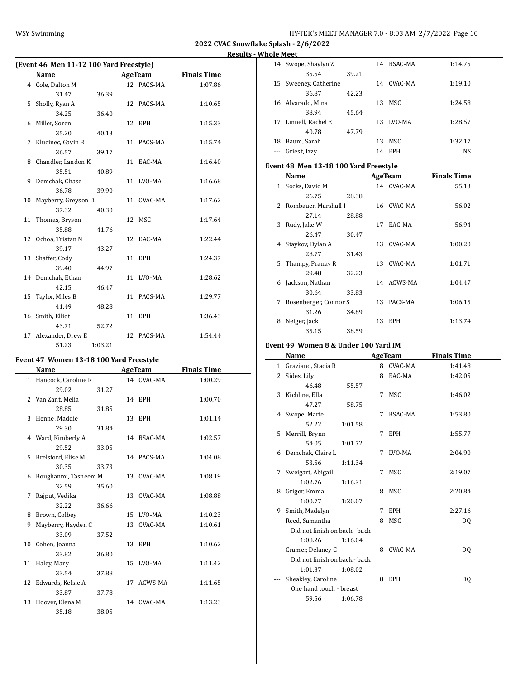| HY-TEK's MEET MANAGER 7.0 - 8:03 AM 2/7/2022 Page 10 |  |  |  |
|------------------------------------------------------|--|--|--|
|------------------------------------------------------|--|--|--|

**Results - Whole Meet**

 $\overline{\phantom{0}}$ 

| (Event 46 Men 11-12 100 Yard Freestyle) |                      |         |  |                |                    |  |
|-----------------------------------------|----------------------|---------|--|----------------|--------------------|--|
|                                         | Name                 |         |  | <b>AgeTeam</b> | <b>Finals Time</b> |  |
|                                         | 4 Cole, Dalton M     |         |  | 12 PACS-MA     | 1:07.86            |  |
|                                         | 31.47                | 36.39   |  |                |                    |  |
| 5                                       | Sholly, Ryan A       |         |  | 12 PACS-MA     | 1:10.65            |  |
|                                         | 34.25                | 36.40   |  |                |                    |  |
| 6                                       | Miller, Soren        |         |  | 12 EPH         | 1:15.33            |  |
|                                         | 35.20                | 40.13   |  |                |                    |  |
| 7                                       | Klucinec, Gavin B    |         |  | 11 PACS-MA     | 1:15.74            |  |
|                                         | 36.57                | 39.17   |  |                |                    |  |
| 8                                       | Chandler, Landon K   |         |  | 11 EAC-MA      | 1:16.40            |  |
|                                         | 35.51                | 40.89   |  |                |                    |  |
| 9                                       | Demchak, Chase       |         |  | 11 LVO-MA      | 1:16.68            |  |
|                                         | 36.78                | 39.90   |  |                |                    |  |
| 10                                      | Mayberry, Greyson D  |         |  | 11 CVAC-MA     | 1:17.62            |  |
|                                         | 37.32                | 40.30   |  |                |                    |  |
|                                         | 11 Thomas, Bryson    |         |  | 12 MSC         | 1:17.64            |  |
|                                         | 35.88                | 41.76   |  |                |                    |  |
|                                         | 12 Ochoa, Tristan N  |         |  | 12 EAC-MA      | 1:22.44            |  |
|                                         | 39.17                | 43.27   |  |                |                    |  |
|                                         | 13 Shaffer, Cody     |         |  | 11 EPH         | 1:24.37            |  |
|                                         | 39.40                | 44.97   |  |                |                    |  |
|                                         | 14 Demchak, Ethan    |         |  | 11 LVO-MA      | 1:28.62            |  |
|                                         | 42.15                | 46.47   |  |                |                    |  |
|                                         | 15 Taylor, Miles B   |         |  | 11 PACS-MA     | 1:29.77            |  |
|                                         | 41.49                | 48.28   |  |                |                    |  |
|                                         | 16 Smith, Elliot     |         |  | 11 EPH         | 1:36.43            |  |
|                                         | 43.71                | 52.72   |  |                |                    |  |
|                                         | 17 Alexander, Drew E |         |  | 12 PACS-MA     | 1:54.44            |  |
|                                         | 51.23                | 1:03.21 |  |                |                    |  |

# **Event 47 Women 13-18 100 Yard Freestyle**

| Name |                       |       | <b>AgeTeam</b> | <b>Finals Time</b> |  |
|------|-----------------------|-------|----------------|--------------------|--|
|      | 1 Hancock, Caroline R |       | 14 CVAC-MA     | 1:00.29            |  |
|      | 29.02                 | 31.27 |                |                    |  |
|      | 2 Van Zant, Melia     |       | 14 EPH         | 1:00.70            |  |
|      | 28.85                 | 31.85 |                |                    |  |
|      | 3 Henne, Maddie       |       | 13 EPH         | 1:01.14            |  |
|      | 29.30                 | 31.84 |                |                    |  |
|      | 4 Ward, Kimberly A    |       | 14 BSAC-MA     | 1:02.57            |  |
|      | 29.52                 | 33.05 |                |                    |  |
|      | 5 Brelsford, Elise M  |       | 14 PACS-MA     | 1:04.08            |  |
|      | 30.35                 | 33.73 |                |                    |  |
| 6    | Boughanmi, Tasneem M  |       | 13 CVAC-MA     | 1:08.19            |  |
|      | 32.59                 | 35.60 |                |                    |  |
| 7    | Rajput, Vedika        |       | 13 CVAC-MA     | 1:08.88            |  |
|      | 32.22                 | 36.66 |                |                    |  |
| 8    | Brown, Colbey         |       | 15 LVO-MA      | 1:10.23            |  |
| 9    | Mayberry, Hayden C    |       | 13 CVAC-MA     | 1:10.61            |  |
|      | 33.09                 | 37.52 |                |                    |  |
| 10   | Cohen, Joanna         |       | 13 EPH         | 1:10.62            |  |
|      | 33.82                 | 36.80 |                |                    |  |
|      | 11 Haley, Mary        |       | 15 LVO-MA      | 1:11.42            |  |
|      | 33.54                 | 37.88 |                |                    |  |
|      | 12 Edwards, Kelsie A  |       | 17 ACWS-MA     | 1:11.65            |  |
|      | 33.87                 | 37.78 |                |                    |  |
| 13   | Hoover, Elena M       |       | 14 CVAC-MA     | 1:13.23            |  |
|      | 35.18                 | 38.05 |                |                    |  |

| 14 | Swope, Shaylyn Z   |       |    | 14 BSAC-MA | 1:14.75 |
|----|--------------------|-------|----|------------|---------|
|    | 35.54              | 39.21 |    |            |         |
| 15 | Sweeney, Catherine |       |    | 14 CVAC-MA | 1:19.10 |
|    | 36.87              | 42.23 |    |            |         |
|    | 16 Alvarado, Mina  |       | 13 | MSC.       | 1:24.58 |
|    | 38.94              | 45.64 |    |            |         |
| 17 | Linnell, Rachel E  |       | 13 | LVO-MA     | 1:28.57 |
|    | 40.78              | 47.79 |    |            |         |
| 18 | Baum, Sarah        |       | 13 | MSC        | 1:32.17 |
|    | Griest, Izzy       |       | 14 | <b>EPH</b> | NS      |

# **Event 48 Men 13-18 100 Yard Freestyle**

|   | Name                  |       |    | AgeTeam    | <b>Finals Time</b> |
|---|-----------------------|-------|----|------------|--------------------|
|   | 1 Socks, David M      |       |    | 14 CVAC-MA | 55.13              |
|   | 26.75                 | 28.38 |    |            |                    |
| 2 | Rombauer, Marshall I  |       |    | 16 CVAC-MA | 56.02              |
|   | 27.14                 | 28.88 |    |            |                    |
| 3 | Rudy, Jake W          |       | 17 | EAC-MA     | 56.94              |
|   | 26.47                 | 30.47 |    |            |                    |
| 4 | Staykov, Dylan A      |       |    | 13 CVAC-MA | 1:00.20            |
|   | 28.77                 | 31.43 |    |            |                    |
|   | 5 Thampy, Pranav R    |       |    | 13 CVAC-MA | 1:01.71            |
|   | 29.48                 | 32.23 |    |            |                    |
|   | 6 Jackson, Nathan     |       |    | 14 ACWS-MA | 1:04.47            |
|   | 30.64                 | 33.83 |    |            |                    |
| 7 | Rosenberger, Connor S |       | 13 | PACS-MA    | 1:06.15            |
|   | 31.26                 | 34.89 |    |            |                    |
| 8 | Neiger, Jack          |       | 13 | EPH        | 1:13.74            |
|   | 35.15                 | 38.59 |    |            |                    |

# **Event 49 Women 8 & Under 100 Yard IM**

|    | Name                          |         |   | <b>AgeTeam</b> | <b>Finals Time</b> |
|----|-------------------------------|---------|---|----------------|--------------------|
| 1  | Graziano, Stacia R            |         | 8 | CVAC-MA        | 1:41.48            |
| 2  | Sides, Lily                   |         | 8 | EAC-MA         | 1:42.05            |
|    | 46.48                         | 55.57   |   |                |                    |
| 3  | Kichline, Ella                |         |   | 7 MSC          | 1:46.02            |
|    | 47.27                         | 58.75   |   |                |                    |
| 4  | Swope, Marie                  |         | 7 | BSAC-MA        | 1:53.80            |
|    | 52.22                         | 1:01.58 |   |                |                    |
| 5. | Merrill, Brynn                |         | 7 | EPH            | 1:55.77            |
|    | 54.05                         | 1:01.72 |   |                |                    |
| 6  | Demchak, Claire L             |         | 7 | LVO-MA         | 2:04.90            |
|    | 53.56                         | 1:11.34 |   |                |                    |
| 7  | Sweigart, Abigail             |         | 7 | MSC            | 2:19.07            |
|    | 1:02.76                       | 1:16.31 |   |                |                    |
| 8  | Grigor, Emma                  |         | 8 | MSC            | 2:20.84            |
|    | 1:00.77                       | 1:20.07 |   |                |                    |
| 9  | Smith, Madelyn                |         | 7 | <b>EPH</b>     | 2:27.16            |
|    | Reed, Samantha                |         | 8 | MSC            | DQ                 |
|    | Did not finish on back - back |         |   |                |                    |
|    | 1:08.26                       | 1:16.04 |   |                |                    |
|    | Cramer, Delaney C             |         | 8 | CVAC-MA        | DQ                 |
|    | Did not finish on back - back |         |   |                |                    |
|    | 1:01.37                       | 1:08.02 |   |                |                    |
|    | Sheakley, Caroline            |         | 8 | EPH            | DQ                 |
|    | One hand touch - breast       |         |   |                |                    |
|    | 59.56                         | 1:06.78 |   |                |                    |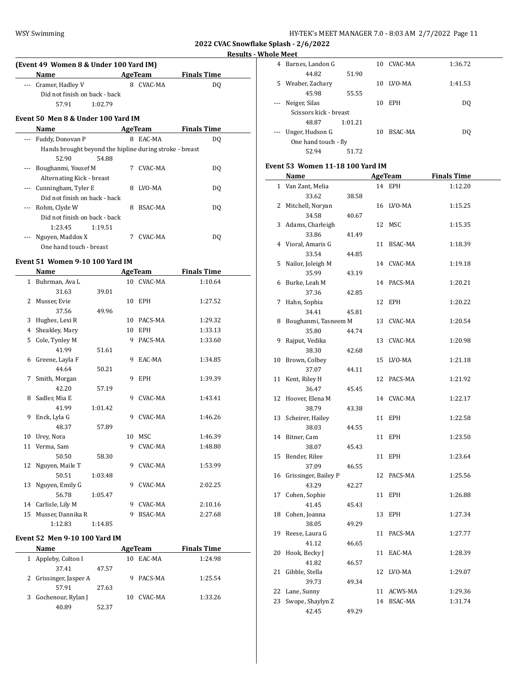**Results - Whole Meet**

| (Event 49 Women 8 & Under 100 Yard IM) |                                                         |         |   |         |                    |  |  |
|----------------------------------------|---------------------------------------------------------|---------|---|---------|--------------------|--|--|
|                                        | Name                                                    |         |   | AgeTeam | <b>Finals Time</b> |  |  |
|                                        | --- Cramer, Hadley V                                    |         | 8 | CVAC-MA | DO.                |  |  |
|                                        | Did not finish on back - back                           |         |   |         |                    |  |  |
|                                        | 57.91                                                   | 1:02.79 |   |         |                    |  |  |
| Event 50 Men 8 & Under 100 Yard IM     |                                                         |         |   |         |                    |  |  |
|                                        | Name                                                    |         |   | AgeTeam | <b>Finals Time</b> |  |  |
|                                        | Fuddy, Donovan P                                        |         | 8 | EAC-MA  | DO.                |  |  |
|                                        | Hands brought beyond the hipline during stroke - breast |         |   |         |                    |  |  |
|                                        | 52.90                                                   | 54.88   |   |         |                    |  |  |
|                                        | Boughanmi, Yousef M                                     |         | 7 | CVAC-MA | DO.                |  |  |
|                                        | Alternating Kick - breast                               |         |   |         |                    |  |  |
|                                        | Cunningham. Tyler E                                     |         | 8 | LVO-MA  | D0                 |  |  |

| --- Cunningham, Tyler E       | LVO-MA<br>8  | DΟ  |
|-------------------------------|--------------|-----|
| Did not finish on back - back |              |     |
| --- Rohm, Clyde W             | BSAC-MA<br>8 | DO  |
| Did not finish on back - back |              |     |
| 1:23.45<br>1:19.51            |              |     |
| --- Nguyen, Maddox X          | CVAC-MA      | DO. |
| One hand touch - breast       |              |     |

# **Event 51 Women 9-10 100 Yard IM**

| Name |                     | <b>AgeTeam</b> |    |                | <b>Finals Time</b> |
|------|---------------------|----------------|----|----------------|--------------------|
|      | 1 Buhrman, Ava L    |                |    | 10 CVAC-MA     | 1:10.64            |
|      | 31.63               | 39.01          |    |                |                    |
| 2    | Musser, Evie        |                |    | 10 EPH         | 1:27.52            |
|      | 37.56               | 49.96          |    |                |                    |
| 3    | Hughes, Lexi R      |                |    | 10 PACS-MA     | 1:29.32            |
| 4    | Sheakley, Mary      |                | 10 | <b>EPH</b>     | 1:33.13            |
| 5.   | Cole, Tynley M      |                | 9  | PACS-MA        | 1:33.60            |
|      | 41.99               | 51.61          |    |                |                    |
|      | 6 Greene, Layla F   |                | 9  | EAC-MA         | 1:34.85            |
|      | 44.64               | 50.21          |    |                |                    |
| 7    | Smith, Morgan       |                | 9  | <b>EPH</b>     | 1:39.39            |
|      | 42.20               | 57.19          |    |                |                    |
| 8.   | Sadler, Mia E       |                | 9  | CVAC-MA        | 1:43.41            |
|      | 41.99               | 1:01.42        |    |                |                    |
| 9    | Enck, Lyla G        |                | 9  | CVAC-MA        | 1:46.26            |
|      | 48.37               | 57.89          |    |                |                    |
| 10   | Urev, Nora          |                | 10 | MSC.           | 1:46.39            |
| 11   | Verma, Sam          |                | 9  | CVAC-MA        | 1:48.80            |
|      | 50.50               | 58.30          |    |                |                    |
| 12   | Nguyen, Maile T     |                | 9  | CVAC-MA        | 1:53.99            |
|      | 50.51               | 1:03.48        |    |                |                    |
| 13   | Nguyen, Emily G     |                | 9  | CVAC-MA        | 2:02.25            |
|      | 56.78               | 1:05.47        |    |                |                    |
|      | 14 Carlisle, Lily M |                | 9  | CVAC-MA        | 2:10.16            |
| 15   | Musser, Dannika R   |                | 9  | <b>BSAC-MA</b> | 2:27.68            |
|      | 1:12.83             | 1:14.85        |    |                |                    |

# **Event 52 Men 9-10 100 Yard IM**

| <b>Name</b> |  |                        |       |    | AgeTeam | <b>Finals Time</b> |  |  |
|-------------|--|------------------------|-------|----|---------|--------------------|--|--|
|             |  | 1 Appleby, Colton I    |       | 10 | EAC-MA  | 1:24.98            |  |  |
|             |  | 37.41                  | 47.57 |    |         |                    |  |  |
|             |  | 2 Grissinger, Jasper A |       |    | PACS-MA | 1:25.54            |  |  |
|             |  | 57.91                  | 27.63 |    |         |                    |  |  |
|             |  | 3 Gochenour, Rylan J   |       | 10 | CVAC-MA | 1:33.26            |  |  |
|             |  | 40.89                  | 52.37 |    |         |                    |  |  |

|       | エレ いエししし               |         |    |         |         |  |
|-------|------------------------|---------|----|---------|---------|--|
| 4     | Barnes, Landon G       |         | 10 | CVAC-MA | 1:36.72 |  |
|       | 44.82                  | 51.90   |    |         |         |  |
| 5     | Weaber, Zachary        |         | 10 | LVO-MA  | 1:41.53 |  |
|       | 45.98                  | 55.55   |    |         |         |  |
|       | Neiger, Silas          |         | 10 | EPH     | DO.     |  |
|       | Scissors kick - breast |         |    |         |         |  |
|       | 48.87                  | 1:01.21 |    |         |         |  |
| $---$ | Unger, Hudson G        |         | 10 | BSAC-MA | DO.     |  |
|       | One hand touch - fly   |         |    |         |         |  |
|       | 52.94                  | 51.72   |    |         |         |  |

# **Event 53 Women 11-18 100 Yard IM**

|              | <u>Name</u>          |       |    | <b>AgeTeam</b> | <b>Finals Time</b> |  |
|--------------|----------------------|-------|----|----------------|--------------------|--|
| $\mathbf{1}$ | Van Zant, Melia      |       | 14 | <b>EPH</b>     | 1:12.20            |  |
|              | 33.62                | 38.58 |    |                |                    |  |
| 2            | Mitchell, Noryan     |       | 16 | LVO-MA         | 1:15.25            |  |
|              | 34.58                | 40.67 |    |                |                    |  |
|              | 3 Adams, Charleigh   |       |    | 12 MSC         | 1:15.35            |  |
|              | 33.86                | 41.49 |    |                |                    |  |
| 4            | Vioral, Amaris G     |       | 11 | BSAC-MA        | 1:18.39            |  |
|              | 33.54                | 44.85 |    |                |                    |  |
| 5            | Nailor, Joleigh M    |       |    | 14 CVAC-MA     | 1:19.18            |  |
|              | 35.99                | 43.19 |    |                |                    |  |
| 6            | Burke, Leah M        |       |    | 14 PACS-MA     | 1:20.21            |  |
|              | 37.36                | 42.85 |    |                |                    |  |
| 7            | Hahn, Sophia         |       | 12 | EPH            | 1:20.22            |  |
|              | 34.41                | 45.81 |    |                |                    |  |
| 8            | Boughanmi, Tasneem M |       |    | 13 CVAC-MA     | 1:20.54            |  |
|              | 35.80                | 44.74 |    |                |                    |  |
| 9            | Rajput, Vedika       |       |    | 13 CVAC-MA     | 1:20.98            |  |
|              | 38.30                | 42.68 |    |                |                    |  |
| 10           | Brown, Colbey        |       | 15 | LVO-MA         | 1:21.18            |  |
|              | 37.07                | 44.11 |    |                |                    |  |
| 11           | Kent, Riley H        |       |    | 12 PACS-MA     | 1:21.92            |  |
|              | 36.47                | 45.45 |    |                |                    |  |
| 12           | Hoover, Elena M      |       |    | 14 CVAC-MA     | 1:22.17            |  |
|              | 38.79                | 43.38 |    |                |                    |  |
| 13           | Scheirer, Hailey     |       | 11 | <b>EPH</b>     | 1:22.58            |  |
|              | 38.03                | 44.55 |    |                |                    |  |
|              | 14 Bitner, Cam       |       |    | 11 EPH         | 1:23.50            |  |
|              | 38.07                | 45.43 |    |                |                    |  |
| 15           | Bender, Rilee        |       | 11 | <b>EPH</b>     | 1:23.64            |  |
|              | 37.09                | 46.55 |    |                |                    |  |
| 16           | Grissinger, Bailey P |       | 12 | PACS-MA        | 1:25.56            |  |
|              | 43.29                | 42.27 |    |                |                    |  |
| 17           | Cohen, Sophie        |       | 11 | EPH            | 1:26.88            |  |
|              | 41.45                | 45.43 |    |                |                    |  |
| 18           | Cohen, Joanna        |       | 13 | EPH            | 1:27.34            |  |
|              | 38.05                | 49.29 |    |                |                    |  |
| 19           | Reese, Laura G       |       | 11 | PACS-MA        | 1:27.77            |  |
|              | 41.12                | 46.65 |    |                |                    |  |
| 20           | Hook, Becky J        |       | 11 | EAC-MA         | 1:28.39            |  |
|              | 41.82                | 46.57 |    |                |                    |  |
| 21           | Gibble, Stella       |       |    | 12 LVO-MA      | 1:29.07            |  |
|              | 39.73                | 49.34 |    |                |                    |  |
| 22           | Lane, Sunny          |       | 11 | ACWS-MA        | 1:29.36            |  |
| 23           | Swope, Shaylyn Z     |       | 14 | BSAC-MA        | 1:31.74            |  |
|              | 42.45                | 49.29 |    |                |                    |  |